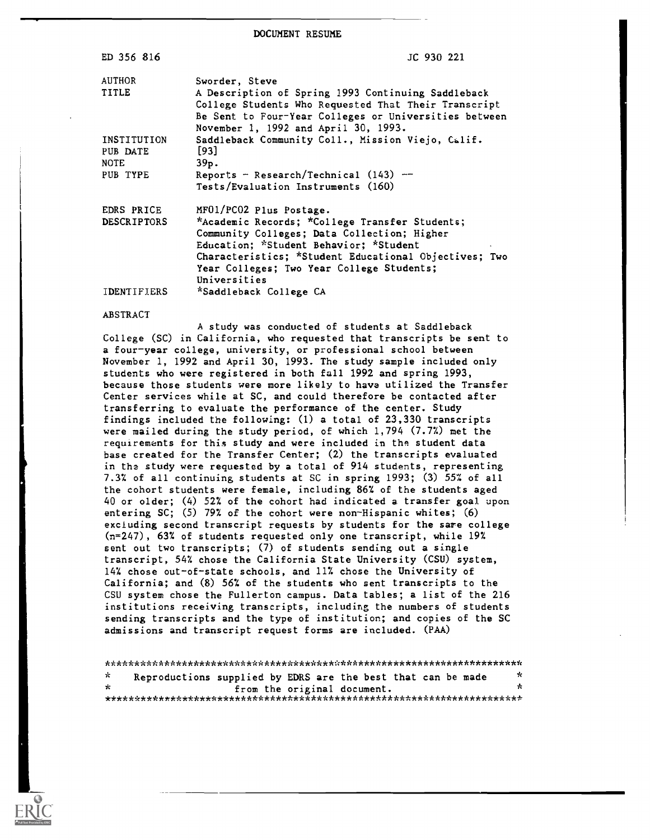DOCUMENT RESUME

| ED 356 816                                         | JC 930 221                                                                                                                                                                                                                                                                               |
|----------------------------------------------------|------------------------------------------------------------------------------------------------------------------------------------------------------------------------------------------------------------------------------------------------------------------------------------------|
| AUTHOR<br>TITLE                                    | Sworder, Steve<br>A Description of Spring 1993 Continuing Saddleback<br>College Students Who Requested That Their Transcript<br>Be Sent to Four-Year Colleges or Universities between<br>November 1, 1992 and April 30, 1993.                                                            |
| INSTITUTION<br>PUB DATE<br><b>NOTE</b><br>PUB TYPE | Saddleback Community Coll., Mission Viejo, Calif.<br>[93]<br>39p.<br>Reports - Research/Technical $(143)$ --<br>Tests/Evaluation Instruments (160)                                                                                                                                       |
| EDRS PRICE<br><b>DESCRIPTORS</b>                   | MF01/PC02 Plus Postage.<br>*Academic Records; *College Transfer Students;<br>Community Colleges; Data Collection; Higher<br>Education; *Student Behavior; *Student<br>Characteristics; *Student Educational Objectives; Two<br>Year Colleges; Two Year College Students;<br>Universities |
| <b>IDENTIFIERS</b>                                 | *Saddleback College CA                                                                                                                                                                                                                                                                   |

#### ABSTRACT

A study was conducted of students at Saddleback College (SC) in California, who requested that transcripts be sent to a four-year college, university, or professional school between November 1, 1992 and April 30, 1993. The study sample included only students who were registered in both fall 1992 and spring 1993, because those students were more likely to have utilized the Transfer Center services while at SC, and could therefore be contacted after transferring to evaluate the performance of the center. Study findings included the following: (1) a total of 23,330 transcripts were mailed during the study period, of which 1,794 (7.7%) met the requirements for this study and were included in the student data base created for the Transfer Center; (2) the transcripts evaluated in the study were requested by a total of 914 students, representing 7.3% of all continuing students at SC in spring 1993; (3) 55% of all the cohort students were female, including 86% of the students aged 40 or older; (4) 52% of the cohort had indicated a transfer goal upon entering SC; (5) 79% of the cohort were non-Hispanic whites; (6) excluding second transcript requests by students for the sare college (n=247), 63% of students requested only one transcript, while 19% sent out two transcripts; (7) of students sending out a single transcript, 54% chose the California State University (CSU) system, 14% chose out-of-state schools, and 11% chose the University of California; and (8) 56% of the students who sent transcripts to the CSU system chose the Fullerton campus. Data tables; a list of the 216 institutions receiving transcripts, including the numbers of students sending transcripts and the type of institution; and copies of the SC admissions and transcript request forms are included. (PAA)

| - ok  | Reproductions supplied by EDRS are the best that can be made |  |                             | ブぐ |  |
|-------|--------------------------------------------------------------|--|-----------------------------|----|--|
| - sto |                                                              |  | from the original document. |    |  |
|       |                                                              |  |                             |    |  |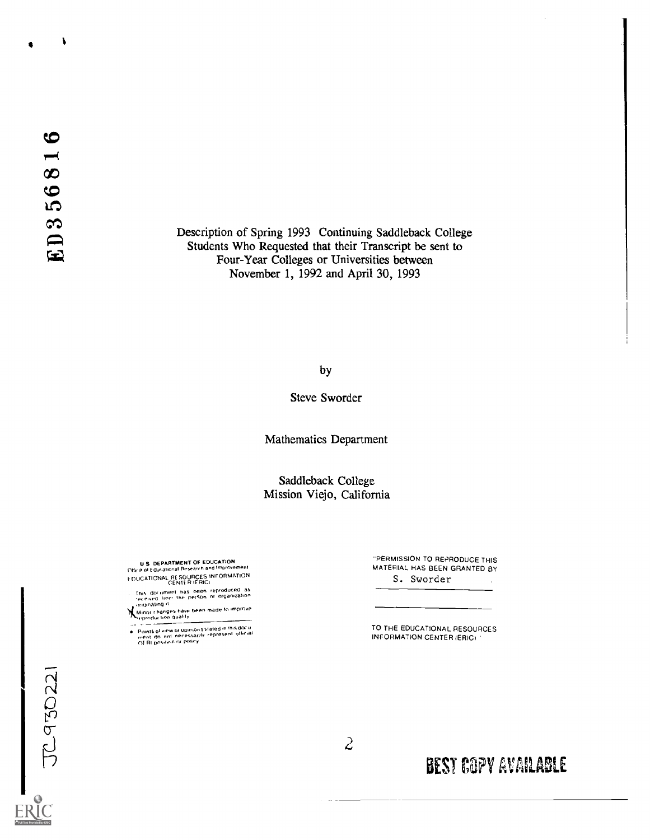$\sqrt{2}$ 

Description of Spring 1993 Continuing Saddleback College Students Who Requested that their Transcript be sent to Four-Year Colleges or Universities between November 1, 1992 and April 30, 1993

by

Steve Sworder

Mathematics Department

Saddleback College Mission Viejo, California

U.S. DEPARTMENT OF EDUCATION<br>Office of Educational Research and Improvement FDUCATIONAL RESOURCES INFORMATION<br>CENTER (ERIG)

. This document has been reproduced as<br>- received tron' the person or nrganization<br>coriginating it

Minor changes have been made to improve.

Points of view or up;nions stated in this docu<br>ment ido, not inecessacily represent iofficial<br>OE RI positicin ni Policy

"PERMISSION TO REPRODUCE THIS MATERIAL HAS BEEN GRANTED BY S. Sworder

TO THE EDUCATIONAL RESOURCES INFORMATION CENTER (ERIC)

JC930221

 $\tilde{z}$ 

BEST COPY AVAILABLE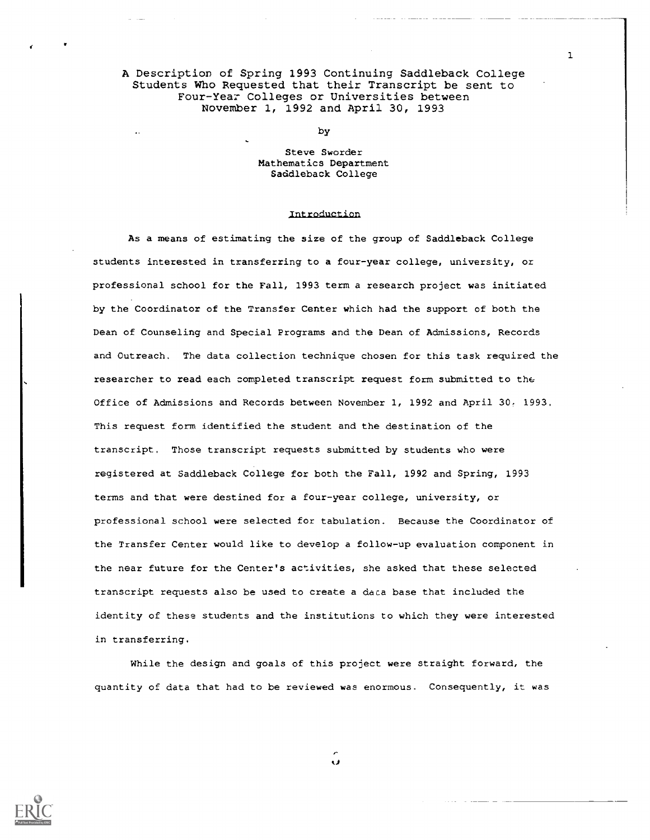A Description of Spring 1993 Continuing Saddleback College Students Who Requested that their Transcript be sent to Four-Year Colleges or Universities between November 1, 1992 and April 30, 1993

by

## Steve Sworder Mathematics Department Saddleback College

### Introduction

As a means of estimating the size of the group of Saddleback College students interested in transferring to a four-year college, university, or professional school for the Fall, 1993 term a research project was initiated by the Coordinator of the Transfer Center which had the support of both the Dean of Counseling and Special Programs and the Dean of Admissions, Records and Outreach. The data collection technique chosen for this task required the researcher to read each completed transcript request form submitted to the Office of Admissions and Records between November 1, 1992 and April 30. 1993. This request form identified the student and the destination of the transcript. Those transcript requests submitted by students who were registered at Saddleback College for both the Fall, 1992 and Spring, 1993 terms and that were destined for a four-year college, university, or professional school were selected for tabulation. Because the Coordinator of the Transfer Center would like to develop a follow-up evaluation component in the near future for the Center's activities, she asked that these selected transcript requests also be used to create a data base that included the identity of these students and the institutions to which they were interested in transferring.

While the design and goals of this project were straight forward, the quantity of data that had to be reviewed was enormous. Consequently, it was



Ü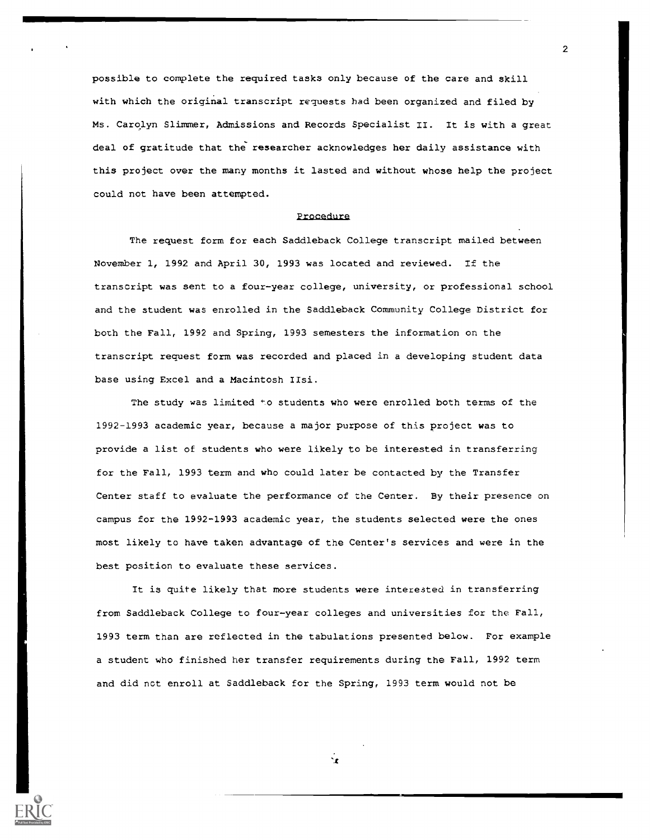possible to complete the required tasks only because of the care and skill with which the original transcript requests had been organized and filed by Ms. Carolyn Slimmer, Admissions and Records Specialist II. It is with a great deal of gratitude that the researcher acknowledges her daily assistance with this project over the many months it lasted and without whose help the project could not have been attempted.

#### procedure

The request form for each Saddleback College transcript mailed between November 1, 1992 and April 30, 1993 was located and reviewed. If the transcript was sent to a four-year college, university, or professional school and the student was enrolled in the Saddleback Community College District for both the Fall, 1992 and Spring, 1993 semesters the information on the transcript request form was recorded and placed in a developing student data base using Excel and a Macintosh IIsi.

The study was limited \*o students who were enrolled both terms of the 1992-1993 academic year, because a major purpose of this project was to provide a list of students who were likely to be interested in transferring for the Fall, 1993 term and who could later be contacted by the Transfer Center staff to evaluate the performance of the Center. By their presence on campus for the 1992-1993 academic year, the students selected were the ones most likely to have taken advantage of the Center's services and were in the best position to evaluate these services.

It is quite likely that more students were interested in transferring from Saddleback College to four-year colleges and universities for the Fall, 1993 term than are reflected in the tabulations presented below. For example a student who finished her transfer requirements during the Fall, 1992 term and did not enroll at Saddleback for the Spring, 1993 term would not be

2

't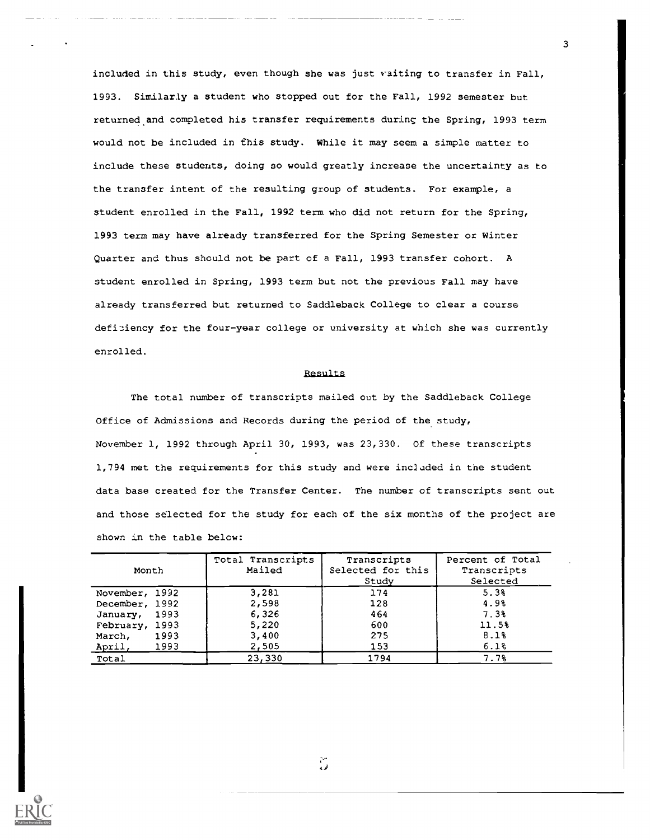included in this study, even though she was just raiting to transfer in Fall, 1993. Similarly a student who stopped out for the Fall, 1992 semester but returned and completed his transfer requirements during the Spring, 1993 term would not be included in this study. While it may seem a simple matter to include these students, doing so would greatly increase the uncertainty as to the transfer intent of the resulting group of students. For example, a student enrolled in the Fall, 1992 term who did not return for the Spring, 1993 term may have already transferred for the Spring Semester or Winter Quarter and thus should not be part of a Fall, 1993 transfer cohort. A student enrolled in Spring, 1993 term but not the previous Fall may have already transferred but returned to Saddleback College to clear a course deficiency for the four-year college or university at which she was currently enrolled.

#### Results

The total number of transcripts mailed out by the Saddleback College Office of Admissions and Records during the period of the study, November 1, 1992 through April 30, 1993, was 23,330. Of these transcripts 1,794 met the requirements for this study and were included in the student data base created for the Transfer Center. The number of transcripts sent out and those selected for the study for each of the six months of the project are shown in the table below:

| Month            | Total Transcripts<br>Mailed | Transcripts<br>Selected for this<br>Study | Percent of Total<br>Transcripts<br>Selected |
|------------------|-----------------------------|-------------------------------------------|---------------------------------------------|
| November, 1992   | 3,281                       | 174                                       | 5.3%                                        |
| December, 1992   | 2,598                       | 128                                       | 4.9%                                        |
| 1993<br>January, | 6,326                       | 464                                       | 7.3%                                        |
| February, 1993   | 5,220                       | 600                                       | 11.5%                                       |
| 1993<br>March,   | 3,400                       | 275                                       | B.1%                                        |
| April,<br>1993   | 2,505                       | 153                                       | 6.1%                                        |
| Total            | 23,330                      | 1794                                      | 7.7%                                        |

 $\widetilde{\omega}$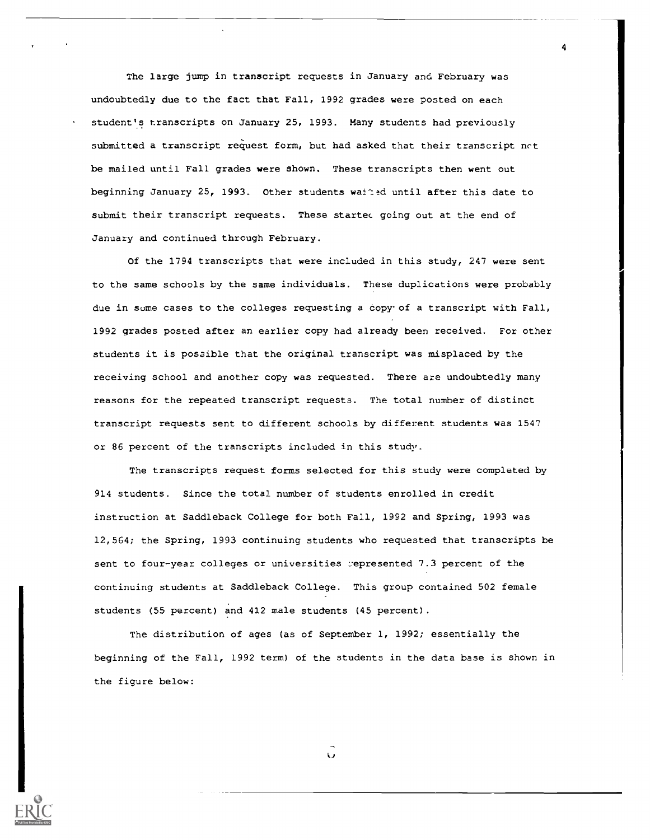The large jump in transcript requests in January and February was undoubtedly due to the fact that Fall, 1992 grades were posted on each student's transcripts on January 25, 1993. Many students had previously submitted a transcript request form, but had asked that their transcript nct be mailed until Fall grades were shown. These transcripts then went out beginning January 25, 1993. Other students waited until after this date to submit their transcript requests. These startec going out at the end of January and continued through February.

4

Of the 1794 transcripts that were included in this study, 247 were sent to the same schools by the same individuals. These duplications were probably due in some cases to the colleges requesting a copy of a transcript with Fall, 1992 grades posted after an earlier copy had already been received. For other students it is possible that the original transcript was misplaced by the receiving school and another copy was requested. There are undoubtedly many reasons for the repeated transcript requests. The total number of distinct transcript requests sent to different schools by different students was 1547 or 86 percent of the transcripts included in this study.

The transcripts request forms selected for this study were completed by 914 students. Since the total number of students enrolled in credit instruction at Saddleback College for both Fall, 1992 and Spring, 1993 was 12,564; the Spring, 1993 continuing students who requested that transcripts be sent to four-year colleges or universities represented 7.3 percent of the continuing students at Saddleback College. This group contained 502 female students (55 percent) and 412 male students (45 percent).

The distribution of ages (as of September 1, 1992; essentially the beginning of the Fall, 1992 term) of the students in the data base is shown in the figure below:

Ü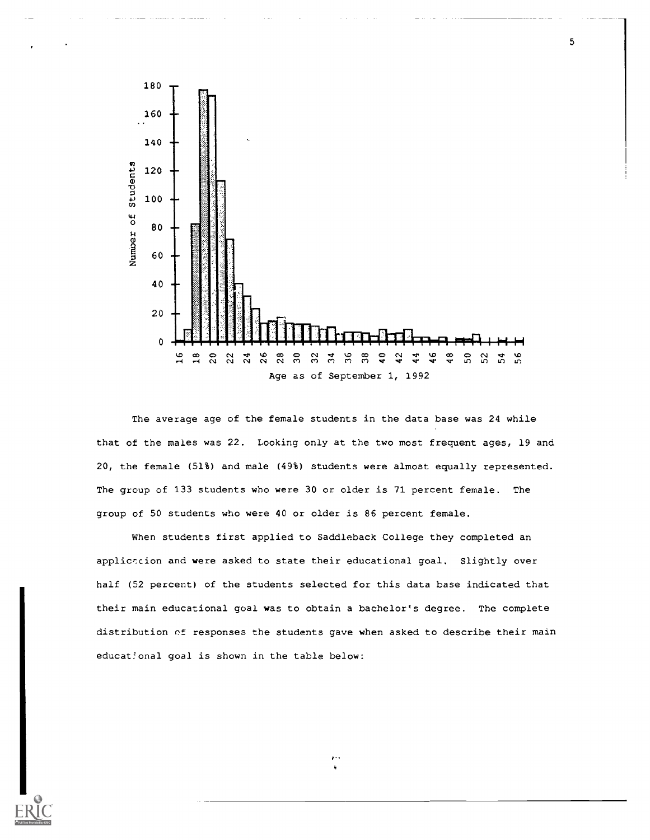

The average age of the female students in the data base was 24 while that of the males was 22. Looking only at the two most frequent ages, 19 and 20, the female (51%) and male (49%) students were almost equally represented. The group of 133 students who were 30 or older is 71 percent female. The group of 50 students who were 40 or older is 86 percent female.

when students first applied to Saddleback College they completed an application and were asked to state their educational goal. Slightly over half (52 percent) of the students selected for this data base indicated that their main educational goal was to obtain a bachelor's degree. The complete distribution of responses the students gave when asked to describe their main educat!onal goal is shown in the table below: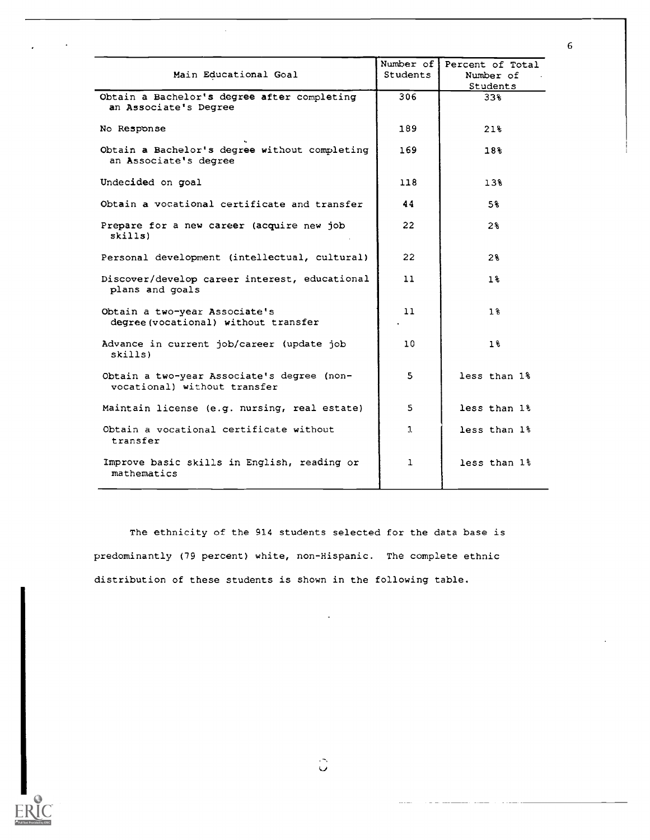| Main Educational Goal                                                      | Number of<br><b>Students</b> | Percent of Total<br>Number of<br>Students |
|----------------------------------------------------------------------------|------------------------------|-------------------------------------------|
| Obtain a Bachelor's degree after completing<br>an Associate's Degree       | 306                          | 33%                                       |
| No Response                                                                | 189                          | 21%                                       |
| Obtain a Bachelor's degree without completing<br>an Associate's degree     | 169                          | 18%                                       |
| Undecided on goal                                                          | 118.                         | $13\%$                                    |
| Obtain a vocational certificate and transfer                               | 44                           | 5%                                        |
| Prepare for a new career (acquire new job<br>skills)                       | $22 \overline{ }$            | 2%                                        |
| Personal development (intellectual, cultural)                              | 22                           | 2%                                        |
| Discover/develop career interest, educational<br>plans and goals           | 11                           | $1\,$                                     |
| Obtain a two-year Associate's<br>degree (vocational) without transfer      | 11                           | $1\,$                                     |
| Advance in current job/career (update job<br>skills)                       | 10                           | 1%                                        |
| Obtain a two-year Associate's degree (non-<br>vocational) without transfer | 5                            | less than 1%                              |
| Maintain license (e.g. nursing, real estate)                               | 5                            | less than 1%                              |
| Obtain a vocational certificate without<br>transfer                        | $\mathfrak{L}$               | less than 1%                              |
| Improve basic skills in English, reading or<br>mathematics                 | $\mathbf{1}$                 | less than 1%                              |

The ethnicity of the 914 students selected for the data base is predominantly (79 percent) white, non-Hispanic. The complete ethnic distribution of these students is shown in the following table.

6

÷,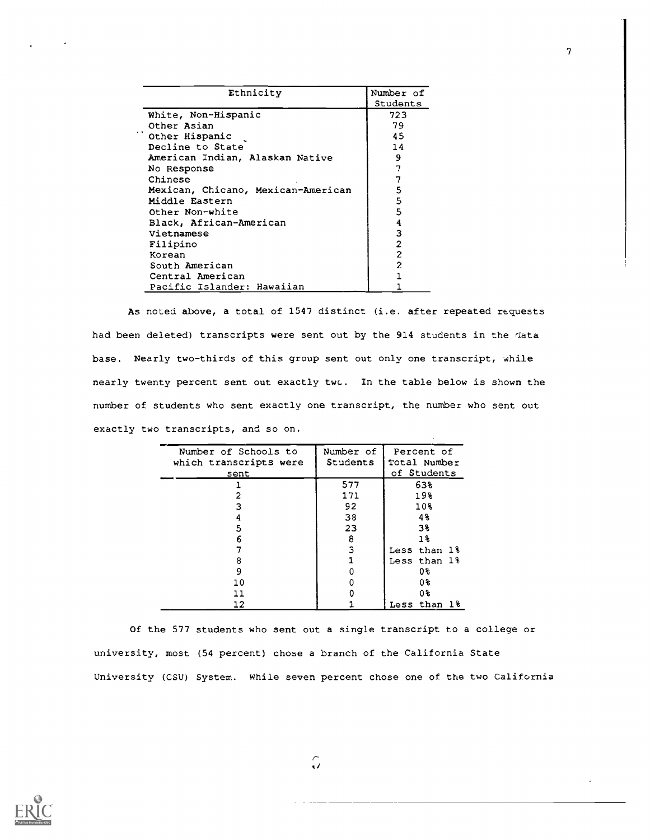| Ethnicity                          | Number of |
|------------------------------------|-----------|
|                                    | Students  |
| White, Non-Hispanic                | 723       |
| Other Asian                        | 79        |
| Other Hispanic                     | 45        |
| Decline to State                   | 14        |
| American Indian, Alaskan Native    | 9         |
| No Response                        | 7         |
| Chinese                            |           |
| Mexican, Chicano, Mexican-American | 5         |
| Middle Eastern                     | 5         |
| Other Non-white                    | 5         |
| Black, African-American            | 4         |
| Vietnamese                         | 3         |
| Filipino                           | 2         |
| Korean                             | 2         |
| South American                     | 2         |
| Central American                   |           |
| Pacific Islander: Hawaiian         |           |

As noted above, a total of 1547 distinct (i.e. after repeated requests had been deleted) transcripts were sent out by the 914 students in the data base. Nearly two-thirds of this group sent out only one transcript, while nearly twenty percent sent out exactly twc. In the table below is shown the number of students who sent exactly one transcript, the number who sent out exactly two transcripts, and so on.

| Number of Schools to<br>which transcripts were<br>sent | Number of<br>Students | Percent of<br>Total Number<br>of Students |
|--------------------------------------------------------|-----------------------|-------------------------------------------|
|                                                        | 577                   | 63%                                       |
|                                                        | 171                   | 19%                                       |
| 3                                                      | 92                    | 10%                                       |
| 4                                                      | 38                    | 48                                        |
| 5                                                      | 23                    | 3%                                        |
| 6                                                      | 8                     | $1\%$                                     |
|                                                        | 3                     | Less than 1%                              |
| 8                                                      |                       | Less than 1%                              |
| 9                                                      |                       | 0%                                        |
| 10                                                     |                       | 0%                                        |
| 11                                                     |                       | 0%                                        |
| 12                                                     |                       | Less than 1%                              |

Of the 577 students who sent out a single transcript to a college or university, most (54 percent) chose a branch of the California State University (CSU) System. while seven percent chose one of the two California



 $\hat{U}$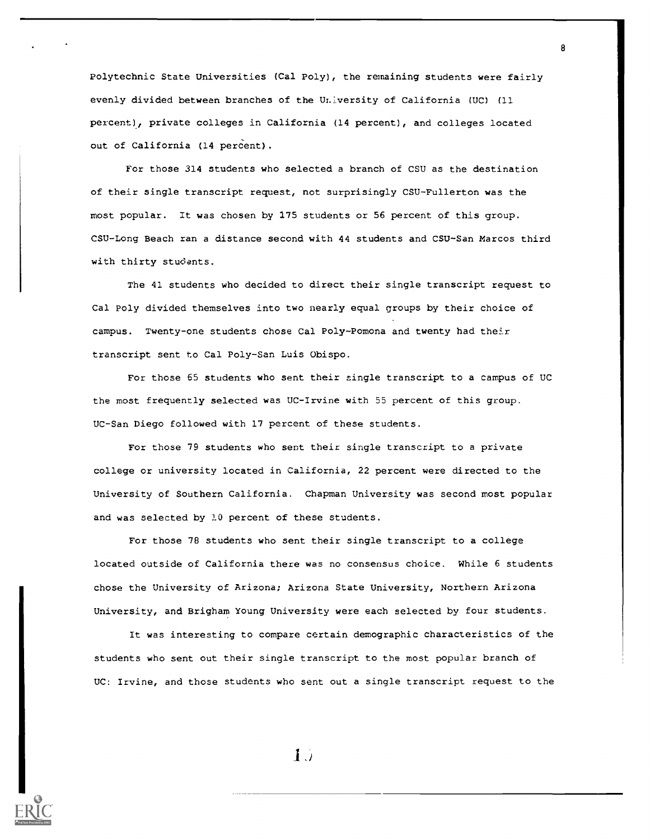Polytechnic State Universities (Cal Poly), the remaining students were fairly evenly divided between branches of the University of California (UC) (11 percent), private colleges in California (14 percent), and colleges located out of California (14 percent).

8

For those 314 students who selected a branch of CSU as the destination of their single transcript request, not surprisingly CSU-Fullerton was the most popular. It was chosen by 175 students or 56 percent of this group. CSU-Long Beach ran a distance second with 44 students and CSU-San Marcos third with thirty students.

The 41 students who decided to direct their single transcript request to Cal Poly divided themselves into two nearly equal groups by their choice of campus. Twenty-one students chose Cal Poly-Pomona and twenty had their transcript sent to Cal Poly-San Luis Obispo.

For those 65 students who sent their single transcript to a campus of UC the most frequently selected was UC-Irvine with 55 percent of this group. UC-San Diego followed with 17 percent of these students.

For those 79 students who sent their single transcript to a private college or university located in California, 22 percent were directed to the University of Southern California. Chapman University was second most popular and was selected by 10 percent of these students.

For those 78 students who sent their single transcript to a college located outside of California there was no consensus choice. While 6 students chose the University of Arizona; Arizona State University, Northern Arizona University, and Brigham Young University were each selected by four students.

It was interesting to compare certain demographic characteristics of the students who sent out their single transcript to the most popular branch of UC: Irvine, and those students who sent out a single transcript request to the

 $1\,$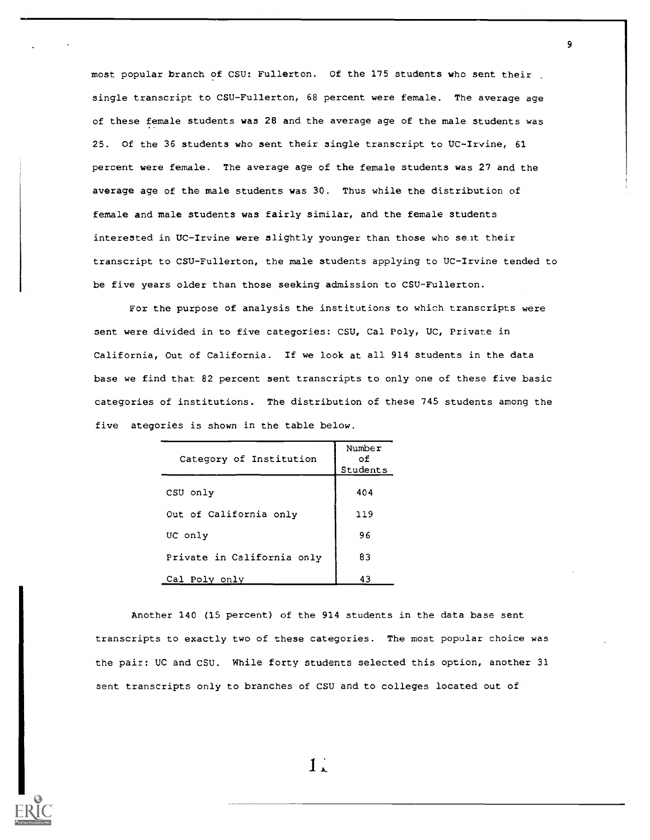most popular branch of CSU: Fullerton. Of the 175 students who sent their single transcript to CSU-Fullerton, 68 percent were female. The average age of these female students was 28 and the average age of the male students was 25. Of the 36 students who sent their single transcript to UC-Irvine, 61 percent were female. The average age of the female students was 27 and the average age of the male students was 30. Thus while the distribution of female and male students was fairly similar, and the female students interested in UC-Irvine were slightly younger than those who sent their transcript to CSU-Fullerton, the male students applying to UC-Irvine tended to be five years older than those seeking admission to CSU-Fullerton.

9

For the purpose of analysis the institutions to which transcripts were sent were divided in to five categories: CSU, Cal Poly, UC, Private in California, Out of California. If we look at all 914 students in the data base we find that 82 percent sent transcripts to only one of these five basic categories of institutions. The distribution of these 745 students among the five ategories is shown in the table below.

| Category of Institution    | Number<br>оf<br>Students |
|----------------------------|--------------------------|
| CSU only                   | 404                      |
| Out of California only     | 119                      |
| UC only                    | 96                       |
| Private in California only | 83                       |
| Cal Poly only              | 43                       |

Another 140 (15 percent) of the 914 students in the data base sent transcripts to exactly two of these categories. The most popular choice was the pair: UC and CSU. While forty students selected this option, another 31 sent transcripts only to branches of CSU and to colleges located out of

 $1.1$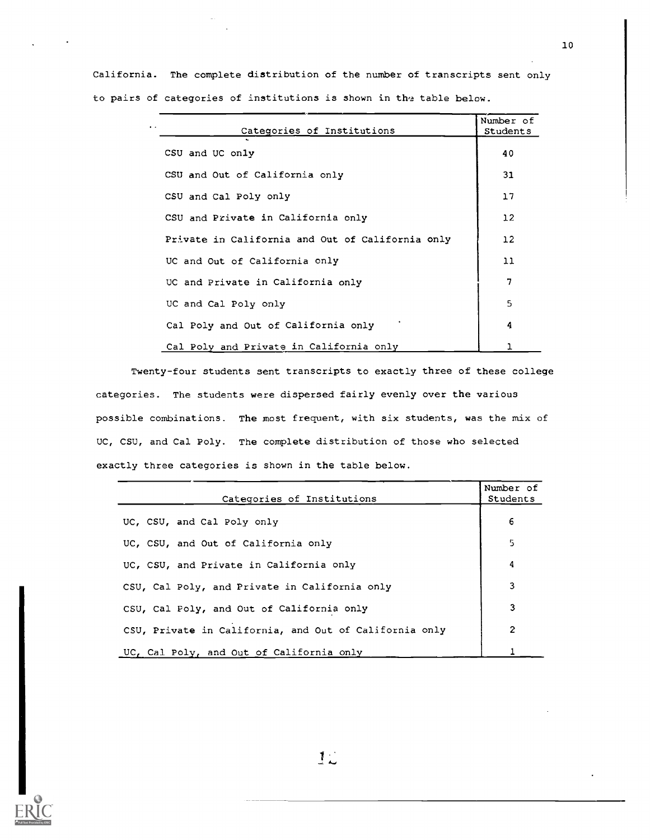| Categories of Institutions                       | Number of<br>Students |
|--------------------------------------------------|-----------------------|
| CSU and UC only                                  | 40                    |
| CSU and Out of California only                   | 31                    |
| CSU and Cal Poly only                            | 17                    |
| CSU and Private in California only               | 12                    |
| Private in California and Out of California only | $12 \overline{ }$     |
| UC and Out of California only                    | 11                    |
| UC and Private in California only                | 7                     |
| UC and Cal Poly only                             | 5                     |
| Cal Poly and Out of California only              | 4                     |
| Cal Poly and Private in California only          |                       |

California. The complete distribution of the number of transcripts sent only to pairs of categories of institutions is shown in the table below.

Twenty-four students sent transcripts to exactly three of these college categories. The students were dispersed fairly evenly over the various possible combinations. The most frequent, with six students, was the mix of UC, CSU, and Cal Poly. The complete distribution of those who selected exactly three categories is shown in the table below.

| Categories of Institutions                             | Number of<br>Students |
|--------------------------------------------------------|-----------------------|
| UC, CSU, and Cal Poly only                             | 6                     |
| UC, CSU, and Out of California only                    | 5                     |
| UC, CSU, and Private in California only                | 4                     |
| CSU, Cal Poly, and Private in California only          | 3                     |
| CSU, Cal Poly, and Out of California only              | 3                     |
| CSU, Private in California, and Out of California only | 2                     |
| UC, Cal Poly, and Out of California only               |                       |

10

 $1<sub>1</sub>$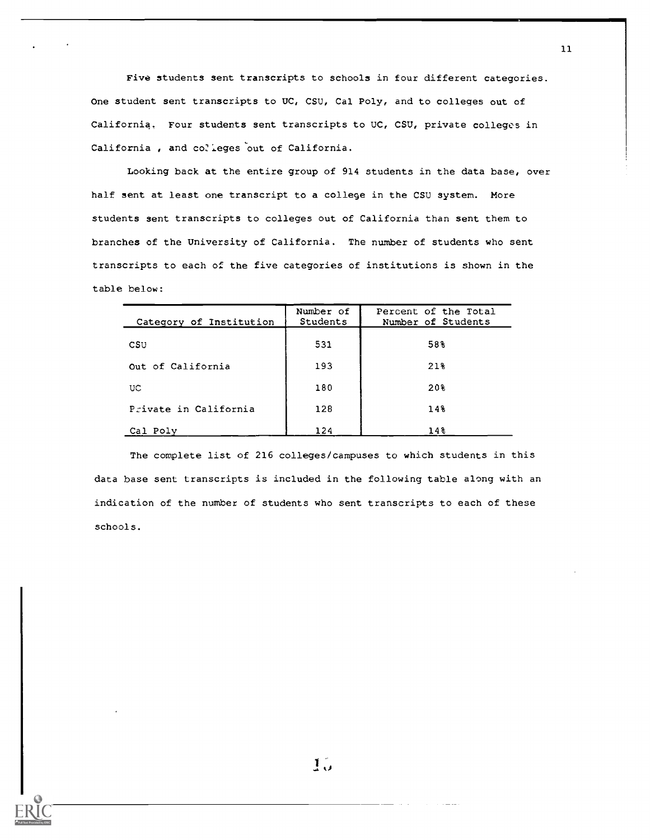Five students sent transcripts to schools in four different categories. One student sent transcripts to UC, CSU, Cal Poly, and to colleges out of California. Four students sent transcripts to UC, CSU, private colleges in California, and colleges out of California.

Looking back at the entire group of 914 students in the data base, over half sent at least one transcript to a college in the CSU system. More students sent transcripts to colleges out of California than sent them to branches of the University of California. The number of students who sent transcripts to each of the five categories of institutions is shown in the table below:

| Category of Institution | Number of<br>Students | Percent of the Total<br>Number of Students |
|-------------------------|-----------------------|--------------------------------------------|
| CSU                     | 531                   | 58%                                        |
| Out of California       | 193                   | 21%                                        |
| UC.                     | 180                   | 20%                                        |
| Private in California   | 128                   | 14%                                        |
| Cal Poly                | 124                   | $14\%$                                     |

The complete list of 216 colleges/campuses to which students in this data base sent transcripts is included in the following table along with an indication of the number of students who sent transcripts to each of these schools.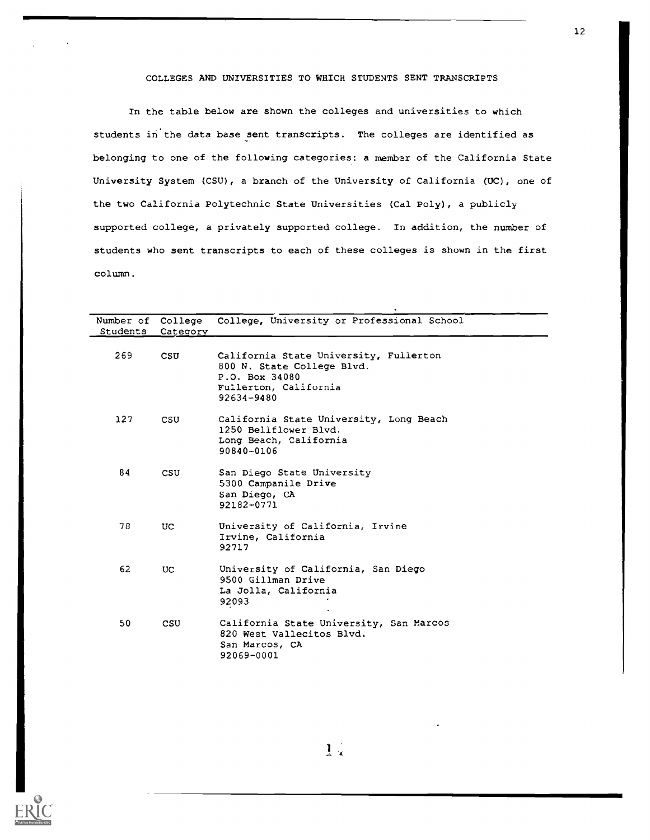# COLLEGES AND UNIVERSITIES TO WHICH STUDENTS SENT TRANSCRIPTS

In the table below are shown the colleges and universities to which students in the data base sent transcripts. The colleges are identified as belonging to one of the following categories: a membar of the California State University System (CSU), a branch of the University of California (UC), one of the two California Polytechnic State Universities (Cal Poly), a publicly supported college, a privately supported college. In addition, the number of students who sent transcripts to each of these colleges is shown in the first column.

| Students | Category   | Number of College College, University or Professional School                                                                  |
|----------|------------|-------------------------------------------------------------------------------------------------------------------------------|
| 269      | CSU        | California State University, Fullerton<br>800 N. State College Blvd.<br>P.O. Box 34080<br>Fullerton, California<br>92634-9480 |
| 127      | CSU        | California State University, Long Beach<br>1250 Bellflower Blvd.<br>Long Beach, California<br>90840-0106                      |
| 84       | CSU        | San Diego State University<br>5300 Campanile Drive<br>San Diego, CA<br>92182-0771                                             |
| 78       | UC.        | University of California, Irvine<br>Irvine, California<br>92717                                                               |
| 62       | UC.        | University of California, San Diego<br>9500 Gillman Drive<br>La Jolla, California<br>92093                                    |
| 50       | <b>CSU</b> | California State University, San Marcos<br>820 West Vallecitos Blvd.<br>San Marcos, CA<br>92069-0001                          |



 $1<sup>2</sup>$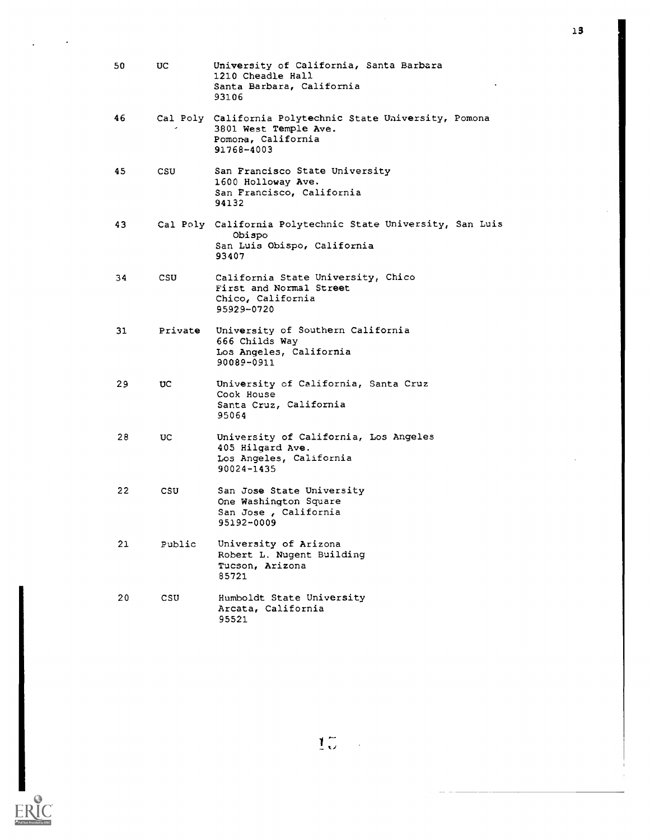| 50 | UC.     | University of California, Santa Barbara<br>1210 Cheadle Hall<br>Santa Barbara, California<br>93106                    |
|----|---------|-----------------------------------------------------------------------------------------------------------------------|
| 46 |         | Cal Poly California Polytechnic State University, Pomona<br>3801 West Temple Ave.<br>Pomona, California<br>91768-4003 |
| 45 | CSU.    | San Francisco State University<br>1600 Holloway Ave.<br>San Francisco, California<br>94132                            |
| 43 |         | Cal Poly California Polytechnic State University, San Luis<br>Obispo<br>San Luis Obispo, California<br>93407          |
| 34 | CSU.    | California State University, Chico<br>First and Normal Street<br>Chico, California<br>95929-0720                      |
| 31 | Private | University of Southern California<br>666 Childs Way<br>Los Angeles, California<br>90089-0911                          |
| 29 | UC      | University of California, Santa Cruz<br>Cook House<br>Santa Cruz, California<br>95064                                 |
| 28 | UC.     | University of California, Los Angeles<br>405 Hilgard Ave.<br>Los Angeles, California<br>90024-1435                    |
| 22 | csu     | San Jose State University<br>One Washington Square<br>San Jose, California<br>95192-0009                              |
| 21 | Public  | University of Arizona<br>Robert L. Nugent Building<br>Tucson, Arizona<br>85721                                        |
| 20 | CSU.    | Humboldt State University<br>Arcata, California<br>95521                                                              |

ERIC

13

 $\frac{1}{4}$ 

 $\mathbb{R}^2$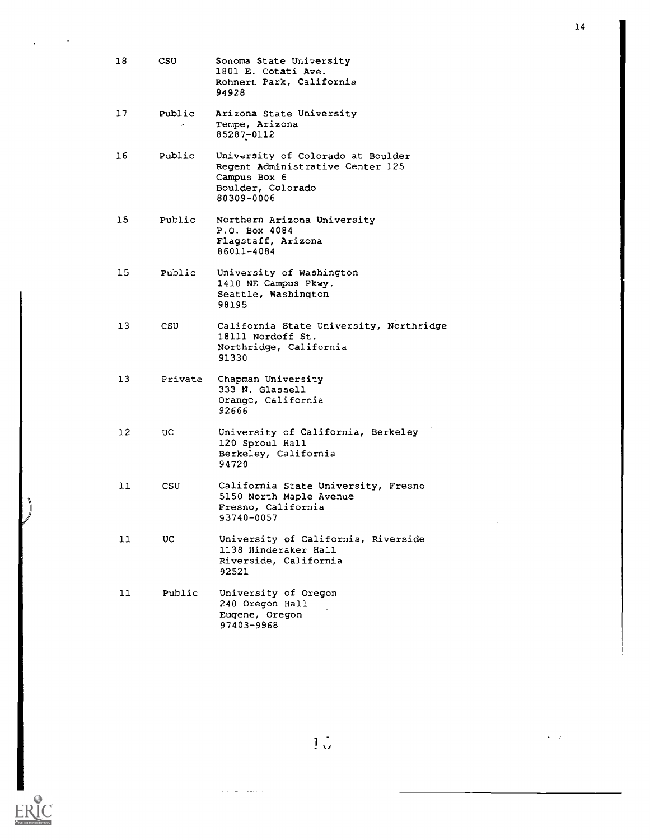| 18  | CSU                    | Sonoma State University<br>1801 E. Cotati Ave.<br>Rohnert Park, California<br>94928                                      |
|-----|------------------------|--------------------------------------------------------------------------------------------------------------------------|
| 17  | Public<br>$\mathbf{r}$ | Arizona State University<br>Tempe, Arizona<br>85287-0112                                                                 |
| 16  | Public                 | University of Colorado at Boulder<br>Regent Administrative Center 125<br>Campus Box 6<br>Boulder, Colorado<br>80309-0006 |
| 15. | Public                 | Northern Arizona University<br>P.O. Box 4084<br>Flagstaff, Arizona<br>86011-4084                                         |
| 15  | Public                 | University of Washington<br>1410 NE Campus Pkwy.<br>Seattle, Washington<br>98195                                         |
| 13  | CSU.                   | California State University, Northridge<br>18111 Nordoff St.<br>Northridge, California<br>91330                          |
| 13. | Private                | Chapman University<br>333 N. Glassell<br>Orange, California<br>92666                                                     |
| 12. | UC.                    | University of California, Berkeley<br>120 Sproul Hall<br>Berkeley, California<br>94720                                   |
| 11  | CSU                    | California State University, Fresno<br>5150 North Maple Avenue<br>Fresno, California<br>93740-0057                       |
| 11  | UC.                    | University of California, Riverside<br>1138 Hinderaker Hall<br>Riverside, California<br>92521                            |
| 11  | Public                 | University of Oregon<br>240 Oregon Hall<br>Eugene, Oregon<br>97403-9968                                                  |

ERIC

 $\bullet$ 

14

 $\hat{\boldsymbol{\beta}}$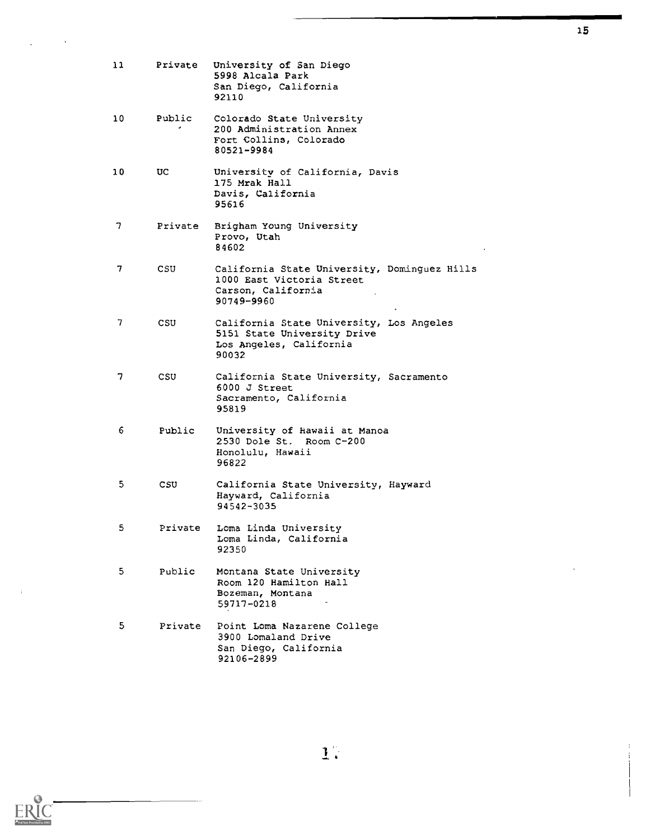| 11 | Private     | University of San Diego<br>5998 Alcala Park<br>San Diego, California<br>92110                                 |
|----|-------------|---------------------------------------------------------------------------------------------------------------|
| 10 | Public<br>٠ | Colorado State University<br>200 Administration Annex<br>Fort Collins, Colorado<br>80521-9984                 |
| 10 | UC.         | University of California, Davis<br>175 Mrak Hall<br>Davis, California<br>95616                                |
| 7. | Private     | Brigham Young University<br>Provo, Utah<br>84602                                                              |
| 7  | CSU.        | California State University, Dominguez Hills<br>1000 East Victoria Street<br>Carson, California<br>90749-9960 |
| 7  | CSU         | California State University, Los Angeles<br>5151 State University Drive<br>Los Angeles, California<br>90032   |
| 7  | CSU.        | California State University, Sacramento<br>6000 J Street<br>Sacramento, California<br>95819                   |
| 6  | Public      | University of Hawaii at Manoa<br>2530 Dole St. Room C-200<br>Honolulu, Hawaii<br>96822                        |
| 5  | CSU.        | California State University, Hayward<br>Hayward, California<br>94542-3035                                     |
| 5  | Private     | Loma Linda University<br>Loma Linda, California<br>92350                                                      |
| 5  | Public      | Montana State University<br>Room 120 Hamilton Hall<br>Bozeman, Montana<br>59717-0218                          |
| 5. | Private     | Point Loma Nazarene College<br>3900 Lomaland Drive<br>San Diego, California<br>92106-2899                     |

 $\hat{\mathbf{1}}^n$ 



 $\frac{1}{2}$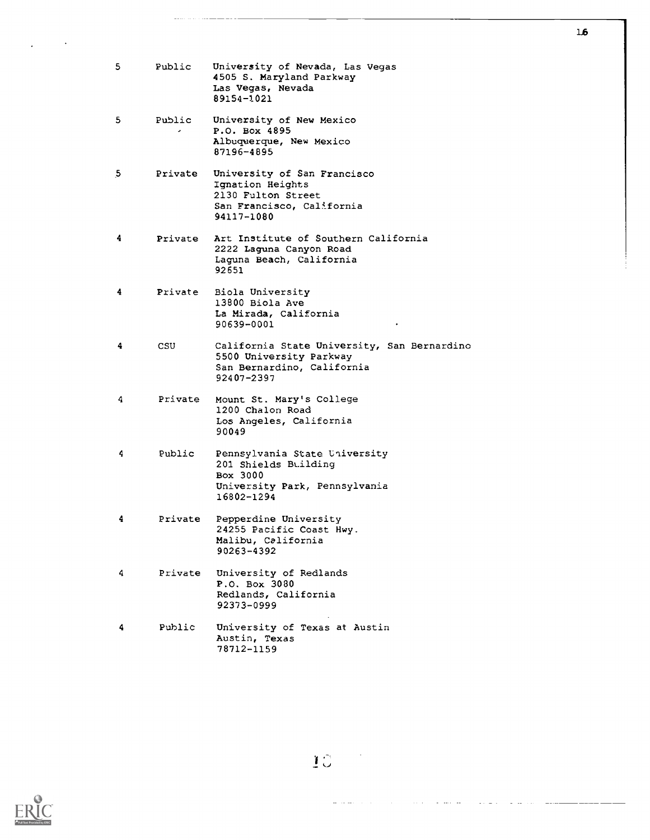| 5. | Public      | University of Nevada, Las Vegas<br>4505 S. Maryland Parkway<br>Las Vegas, Nevada<br>89154-1021                     |
|----|-------------|--------------------------------------------------------------------------------------------------------------------|
| 5  | Public<br>٠ | University of New Mexico<br>P.O. Box 4895<br>Albuquerque, New Mexico<br>87196-4895                                 |
| 5  | Private     | University of San Francisco<br>Ignation Heights<br>2130 Fulton Street<br>San Francisco, California<br>94117-1080   |
| 4  | Private     | Art Institute of Southern California<br>2222 Laguna Canyon Road<br>Laguna Beach, California<br>92651               |
| 4. | Private     | Biola University<br>13800 Biola Ave<br>La Mirada, California<br>90639-0001                                         |
| 4  | CSU.        | California State University, San Bernardino<br>5500 University Parkway<br>San Bernardino, California<br>92407-2397 |
| 4  | Private     | Mount St. Mary's College<br>1200 Chalon Road<br>Los Angeles, California<br>90049                                   |
| 4  | Public      | Pennsylvania State University<br>201 Shields Building<br>Box 3000<br>University Park, Pennsylvania<br>16802-1294   |
| 4  | Private     | Pepperdine University<br>24255 Pacific Coast Hwy.<br>Malibu, California<br>90263-4392                              |
| 4  | Private     | University of Redlands<br>P.O. Box 3080<br>Redlands, California<br>92373-0999                                      |
| 4  | Public      | University of Texas at Austin<br>Austin, Texas<br>78712-1159                                                       |



 $\ddot{\phantom{a}}$ 

lb

10

Ξ. a la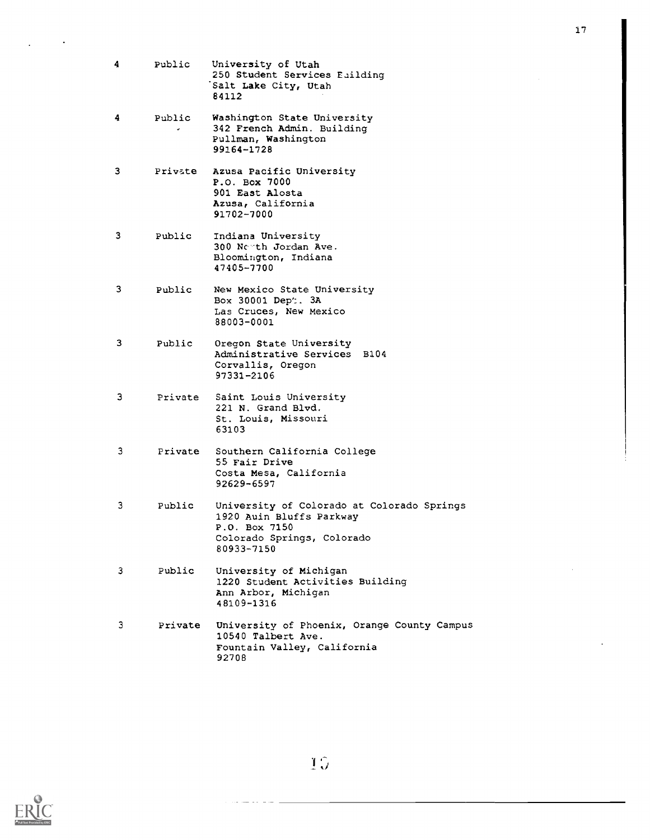- 4 Public University of Utah 250 Student Services Eailding Salt Lake City, Utah 84112
- 4 Public Washington State University 342 French Admin. Building Pullman, Washington 99164-1728

3 Private Azusa Pacific University P.O. Box 7000 901 East Alosta Azusa, California 91702-7000

3 Public Indiana University 300 North Jordan Ave. Bloomington, Indiana 47405-7700

3 Public New Mexico State University Box 30001 Dep':. 3A Las Cruces, New Mexico 88003-0001

- 3 Public Oregon State University Administrative Services B104 Corvallis, Oregon 97331-2106
- <sup>3</sup> Private Saint Louis University 221 N. Grand Blvd. St. Louis, Missouri 63103
- 3 Private Southern California College 55 Fair Drive Costa Mesa, California 92629-6597
- 3 Public University of Colorado at Colorado Springs 1920 Auin Bluffs Parkway P.O. Box 7150 Colorado Springs, Colorado 80933-7150
- <sup>3</sup> Public University of Michigan 1220 Student Activities Building Ann Arbor, Michigan 48109-1316
- <sup>3</sup> Private University of Phoenix, Orange County Campus 10540 Talbert Ave. Fountain Valley, California 92708

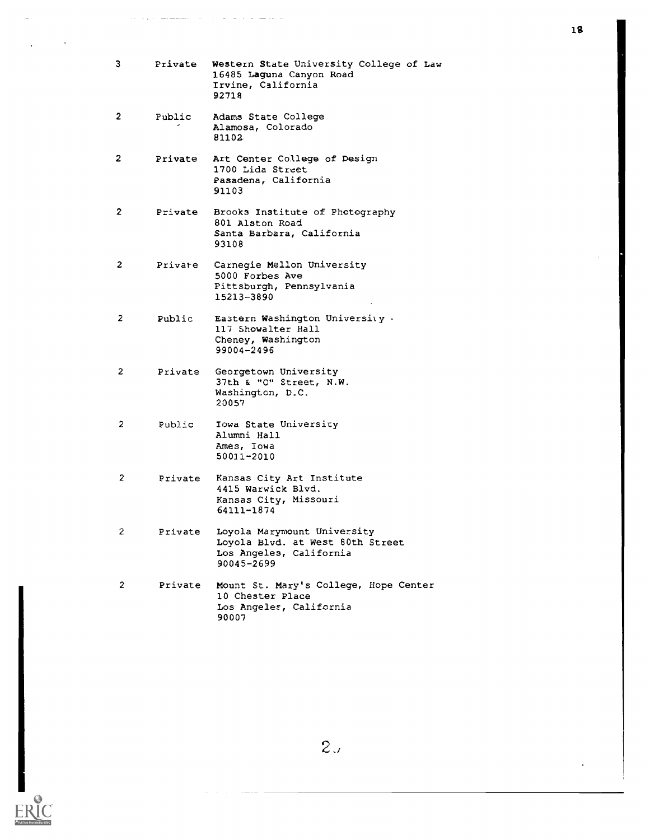| З.           | Private | Western State University College of Law<br>16485 Laguna Canyon Road<br>Irvine, California<br>92718       |
|--------------|---------|----------------------------------------------------------------------------------------------------------|
| 2            | Public  | Adams State College<br>Alamosa, Colorado<br>81102                                                        |
| 2            | Private | Art Center College of Design<br>1700 Lida Street<br>Pasadena, California<br>91103                        |
| 2            | Private | Brooks Institute of Photography<br>801 Alston Road<br>Santa Barbara, California<br>93108                 |
| 2            | Private | Carnegie Mellon University<br>5000 Forbes Ave<br>Pittsburgh, Pennsylvania<br>15213-3890                  |
| 2            | Public  | Eastern Washington University.<br>117 Showalter Hall<br>Cheney, Washington<br>99004-2496                 |
| $\mathbf{2}$ | Private | Georgetown University<br>37th & "O" Street, N.W.<br>Washington, D.C.<br>20057                            |
| 2            | Public  | Iowa State University<br>Alumni Hall<br>Ames, Iowa<br>50011-2010                                         |
| 2            | Private | Kansas City Art Institute<br>4415 Warwick Blvd.<br>Kansas City, Missouri<br>64111-1874                   |
| 2            | Private | Loyola Marymount University<br>Loyola Blvd. at West 80th Street<br>Los Angeles, California<br>90045-2699 |
| 2            | Private | Mount St. Mary's College, Hope Center<br>10 Chester Place<br>Los Angeles, California<br>90007            |

 $ERIC$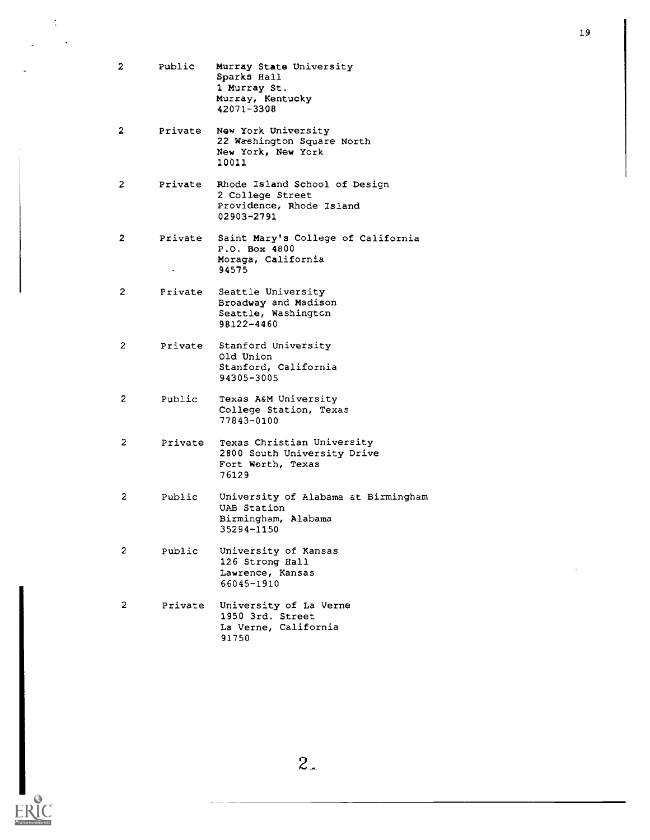| 2  | Public  | Murray State University<br>Sparks Hall<br>1 Murray St.<br>Murray, Kentucky<br>42071-3308    |
|----|---------|---------------------------------------------------------------------------------------------|
| 2  | Private | New York University<br>22 Washington Square North<br>New York, New York<br>10011            |
| 2  | Private | Rhode Island School of Design<br>2 College Street<br>Providence, Rhode Island<br>02903-2791 |
| 2  | Private | Saint Mary's College of California<br>P.O. Box 4800<br>Moraga, California<br>94575          |
| 2  | Private | Seattle University<br>Broadway and Madison<br>Seattle, Washington<br>98122-4460             |
| 2. | Private | Stanford University<br>Old Union<br>Stanford, California<br>94305-3005                      |
| 2  | Public  | Texas A&M University<br>College Station, Texas<br>77843-0100                                |
| 2  | Private | Texas Christian University<br>2800 South University Drive<br>Fort Worth, Texas<br>76129     |
| 2  | Public  | University of Alabama at Birmingham<br>UAB Station<br>Birmingham, Alabama<br>35294-1150     |
| 2  | Public  | University of Kansas<br>126 Strong Hall<br>Lawrence, Kansas<br>66045-1910                   |
| 2  | Private | University of La Verne<br>1950 3rd. Street<br>La Verne, California<br>91750                 |

19



 $\frac{1}{\sqrt{2}}$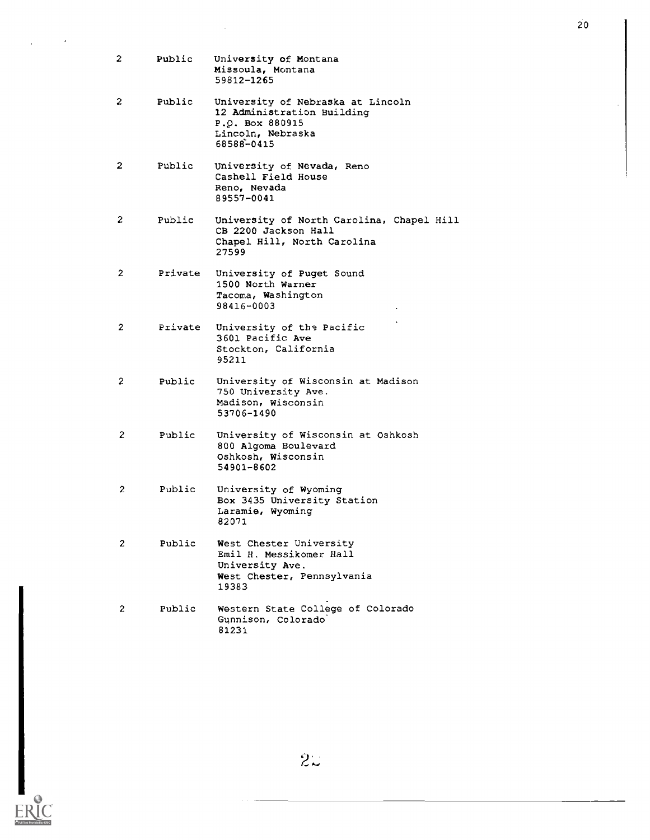| 2              | Public  | University of Montana<br>Missoula, Montana<br>59812-1265                                                              |
|----------------|---------|-----------------------------------------------------------------------------------------------------------------------|
| 2              | Public  | University of Nebraska at Lincoln<br>12 Administration Building<br>P.O. Box 880915<br>Lincoln, Nebraska<br>68588-0415 |
| 2              | Public  | University of Nevada, Reno<br>Cashell Field House<br>Reno, Nevada<br>89557-0041                                       |
| 2              | Public  | University of North Carolina, Chapel Hill<br>CB 2200 Jackson Hall<br>Chapel Hill, North Carolina<br>27599             |
| 2              | Private | University of Puget Sound<br>1500 North Warner<br>Tacoma, Washington<br>98416-0003                                    |
| 2              | Private | University of the Pacific<br>3601 Pacific Ave<br>Stockton, California<br>95211                                        |
| $\overline{2}$ | Public  | University of Wisconsin at Madison<br>750 University Ave.<br>Madison, Wisconsin<br>53706-1490                         |
| 2              | Public  | University of Wisconsin at Oshkosh<br>800 Algoma Boulevard<br>Oshkosh, Wisconsin<br>54901-8602                        |
| 2              | Public  | University of Wyoming<br>Box 3435 University Station<br>Laramie, Wyoming<br>82071                                     |
| 2              | Public  | West Chester University<br>Emil H. Messikomer Hall<br>University Ave.<br>West Chester, Pennsylvania<br>19383          |
| $\mathbf{2}$   | Public  | Western State College of Colorado<br>Gunnison, Colorado<br>81231                                                      |

 $2\mathbb{Z}$ 

 $ERIC$ 

20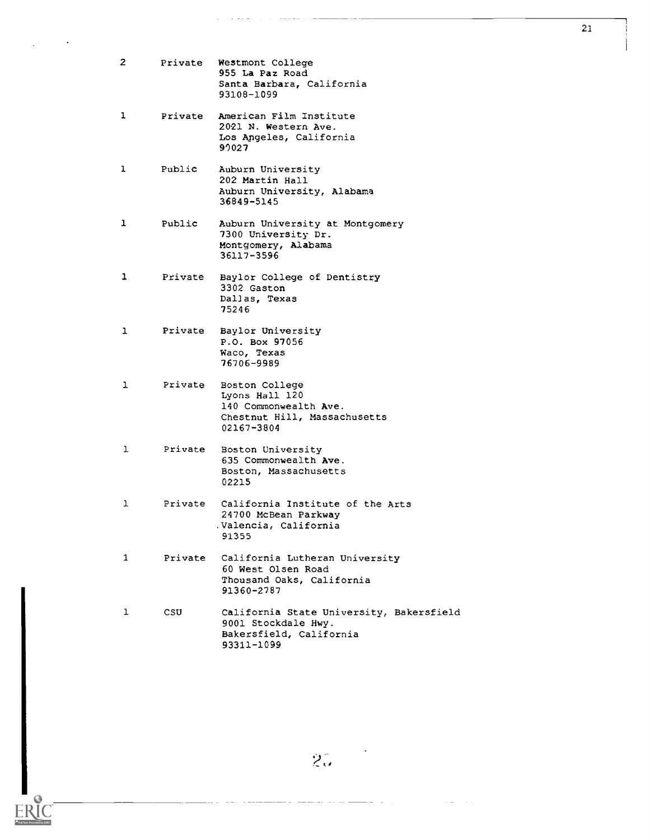| $\mathbf{2}^{\prime}$ |         | Private Westmont College<br>955 La Paz Road<br>Santa Barbara, California<br>93108-1099                   |
|-----------------------|---------|----------------------------------------------------------------------------------------------------------|
| ı                     | Private | American Film Institute<br>2021 N. Western Ave.<br>Los Angeles, California<br>92027                      |
| ı                     | Public  | Auburn University<br>202 Martin Hall<br>Auburn University, Alabama<br>36849-5145                         |
| ı                     | Public  | Auburn University at Montgomery<br>7300 University Dr.<br>Montgomery, Alabama<br>36117-3596              |
| 1                     | Private | Baylor College of Dentistry<br>3302 Gaston<br>Dallas, Texas<br>75246                                     |
| ı                     | Private | Baylor University<br>P.O. Box 97056<br>Waco, Texas<br>76706-9989                                         |
| ı                     | Private | Boston College<br>Lyons Hall 120<br>140 Commonwealth Ave.<br>Chestnut Hill, Massachusetts<br>02167-3804  |
| ı                     | Private | Boston University<br>635 Commonwealth Ave.<br>Boston, Massachusetts<br>02215                             |
| ı                     | Private | California Institute of the Arts<br>24700 McBean Parkway<br>Valencia, California<br>91355                |
| 1                     | Private | California Lutheran University<br>60 West Olsen Road<br>Thousand Oaks, California<br>91360-2787          |
| ı                     | csu     | California State University, Bakersfield<br>9001 Stockdale Hwy.<br>Bakersfield, California<br>93311-1099 |

 $2\overset{\circ}{\omega}$ 

RIC EI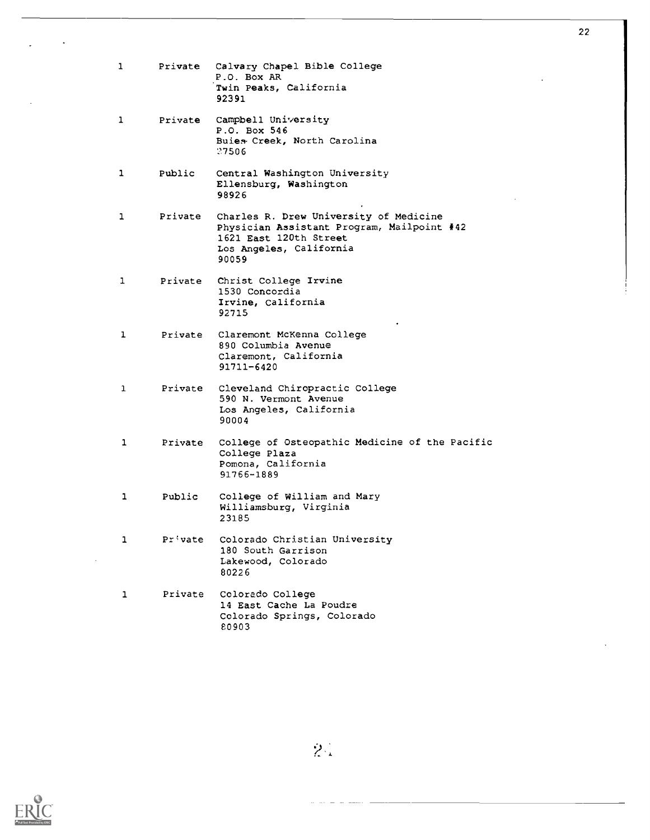| ı | Private | Calvary Chapel Bible College<br>P.O. Box AR<br>Twin Peaks, California<br>92391                                                                     |
|---|---------|----------------------------------------------------------------------------------------------------------------------------------------------------|
| 1 | Private | Campbell University<br>P.O. Box 546<br>Buies Creek, North Carolina<br>27506                                                                        |
| 1 | Public  | Central Washington University<br>Ellensburg, Washington<br>98926                                                                                   |
| 1 | Private | Charles R. Drew University of Medicine<br>Physician Assistant Program, Mailpoint #42<br>1621 East 120th Street<br>Los Angeles, California<br>90059 |
| 1 | Private | Christ College Irvine<br>1530 Concordia<br>Irvine, California<br>92715                                                                             |
| 1 | Private | Claremont McKenna College<br>890 Columbia Avenue<br>Claremont, California<br>91711-6420                                                            |
| 1 | Private | Cleveland Chiropractic College<br>590 N. Vermont Avenue<br>Los Angeles, California<br>90004                                                        |
| ı | Private | College of Osteopathic Medicine of the Pacific<br>College Plaza<br>Pomona, California<br>91766-1889                                                |
| 1 | Public  | College of William and Mary<br>Williamsburg, Virginia<br>23185                                                                                     |
| ı | Private | Colorado Christian University<br>180 South Garrison<br>Lakewood, Colorado<br>80226                                                                 |
| 1 | Private | Colorado College<br>14 East Cache La Poudre<br>Colorado Springs, Colorado<br>80903                                                                 |



22

 $\widetilde{S}^{\pm}_{\alpha}$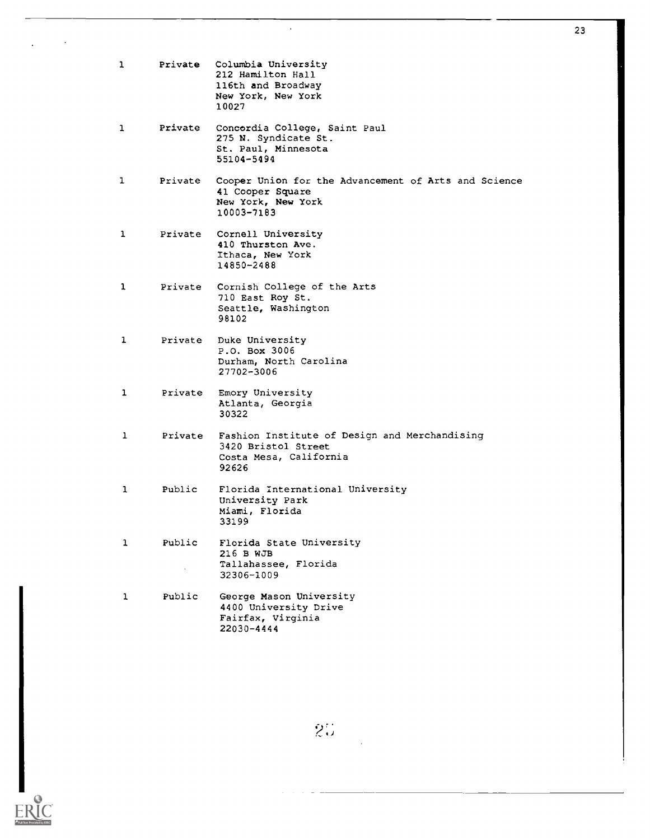| 1            | Private | Columbia University<br>212 Hamilton Hall<br>116th and Broadway<br>New York, New York<br>10027                |
|--------------|---------|--------------------------------------------------------------------------------------------------------------|
| 1            | Private | Concordia College, Saint Paul<br>275 N. Syndicate St.<br>St. Paul, Minnesota<br>55104-5494                   |
| ı            | Private | Cooper Union for the Advancement of Arts and Science<br>41 Cooper Square<br>New York, New York<br>10003-7183 |
| 1            |         | Private Cornell University<br>410 Thurston Ave.<br>Ithaca, New York<br>14850-2488                            |
| $\mathbf{1}$ | Private | Cornish College of the Arts<br>710 East Roy St.<br>Seattle, Washington<br>98102                              |
| ı            | Private | Duke University<br>P.O. Box 3006<br>Durham, North Carolina<br>27702-3006                                     |
| ı            | Private | Emory University<br>Atlanta, Georgia<br>30322                                                                |
| ı            | Private | Fashion Institute of Design and Merchandising<br>3420 Bristol Street<br>Costa Mesa, California<br>92626      |
| 1            | Public  | Florida International University<br>University Park<br>Miami, Florida<br>33199                               |
| 1            | Public  | Florida State University<br>216 B WJB<br>Tallahassee, Florida<br>32306-1009                                  |
| 1            | Public  | George Mason University<br>4400 University Drive<br>Fairfax, Virginia<br>22030-4444                          |

 $\bar{\mathcal{A}}$ 

23



 $2\%$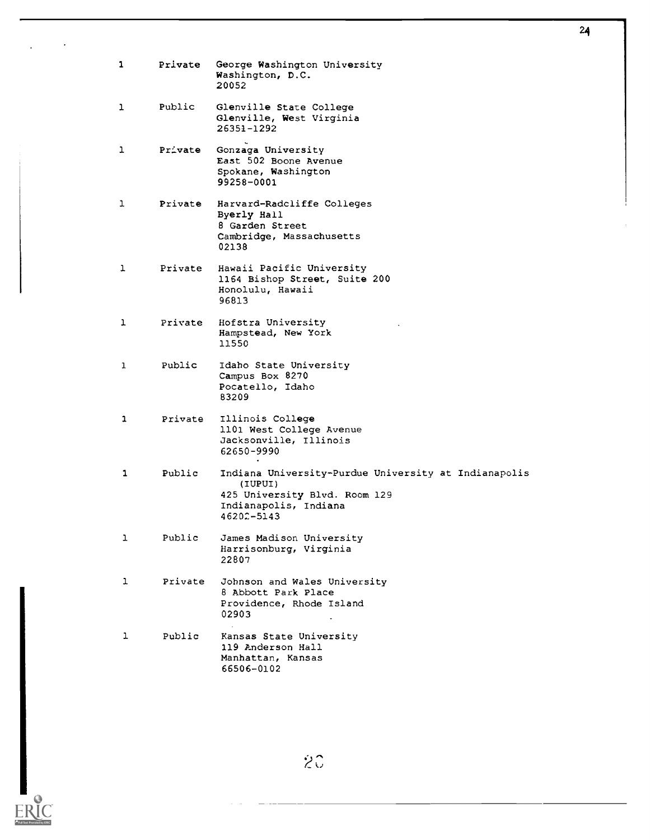| 1            | Private | George Washington University<br>Washington, D.C.<br>20052                                                                               |
|--------------|---------|-----------------------------------------------------------------------------------------------------------------------------------------|
| ı            | Public  | Glenville State College<br>Glenville, West Virginia<br>26351-1292                                                                       |
| ı            | Private | Gonzaga University<br>East 502 Boone Avenue<br>Spokane, Washington<br>99258-0001                                                        |
| 1            | Private | Harvard-Radcliffe Colleges<br>Byerly Hall<br>8 Garden Street<br>Cambridge, Massachusetts<br>02138                                       |
| ı            | Private | Hawaii Pacific University<br>1164 Bishop Street, Suite 200<br>Honolulu, Hawaii<br>96813                                                 |
| ı            | Private | Hofstra University<br>Hampstead, New York<br>11550                                                                                      |
| ı            | Public  | Idaho State University<br>Campus Box 8270<br>Pocatello, Idaho<br>83209                                                                  |
| 1            | Private | Illinois College<br>1101 West College Avenue<br>Jacksonville, Illinois<br>62650-9990                                                    |
| 1            | Public  | Indiana University-Purdue University at Indianapolis<br>(IUPUI)<br>425 University Blvd. Room 129<br>Indianapolis, Indiana<br>46202-5143 |
| ı            | Public  | James Madison University<br>Harrisonburg, Virginia<br>22807                                                                             |
| $\mathbf{1}$ | Private | Johnson and Wales University<br>8 Abbott Park Place<br>Providence, Rhode Island<br>02903                                                |
| ı            | Public  | Kansas State University<br>119 Anderson Hall<br>Manhattan, Kansas<br>66506-0102                                                         |

24

 $ERIC$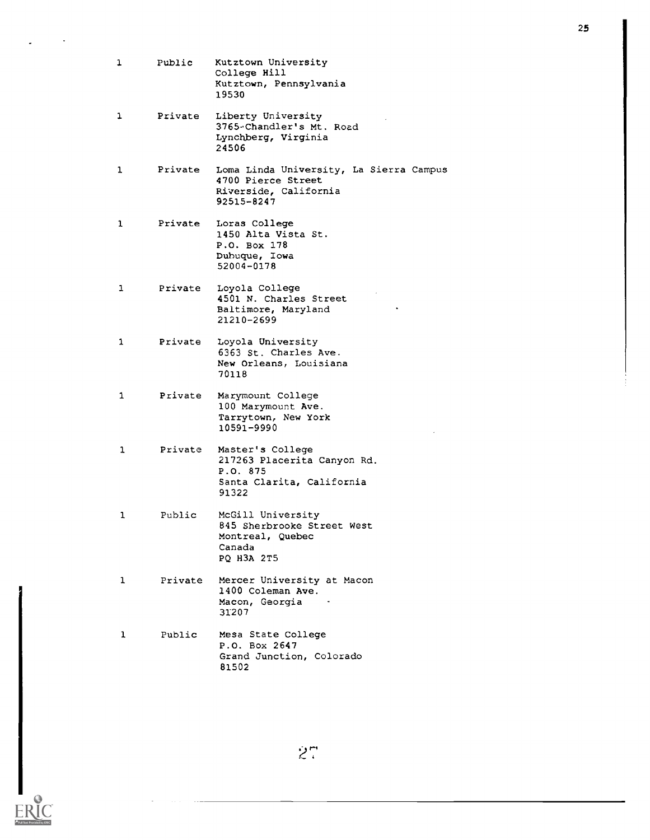<sup>1</sup> Public Kutztown University College Hill Kutztown, Pennsylvania 19530 <sup>1</sup> Private Liberty University 3765-Chandler's Mt. Road Lynchberg, Virginia 24506 <sup>1</sup> Private Loma Linda University, La Sierra Campus 4700 Pierce Street Riverside, California 92515-8247 <sup>1</sup> Private Loras College 1450 Alta Vista St. P.O. Box 178 Dubuque, Iowa 52004-0178 1 Private Loyola College 4501 N. Charles Street Baltimore, Maryland 21210-2699 <sup>1</sup> Private Loyola University 6363 St. Charles Ave. New Orleans, Louisiana 70118 <sup>1</sup> Private Marymount College 100 Marymount Ave. Tarrytown, New York 10591-9990 <sup>1</sup> Private Master's College 217263 Placerita Canyon Rd. P.O. 875 Santa Clarita, California 91322 <sup>1</sup> Public McGill University 845 Sherbrooke Street West Montreal, Quebec Canada PQ H3A 2T5 <sup>1</sup> Private Mercer University at Macon 1400 Coleman Ave. Macon, Georgia 31207 <sup>1</sup> Public Mesa State College P.O. Box 2647 Grand Junction, Colorado 81502

27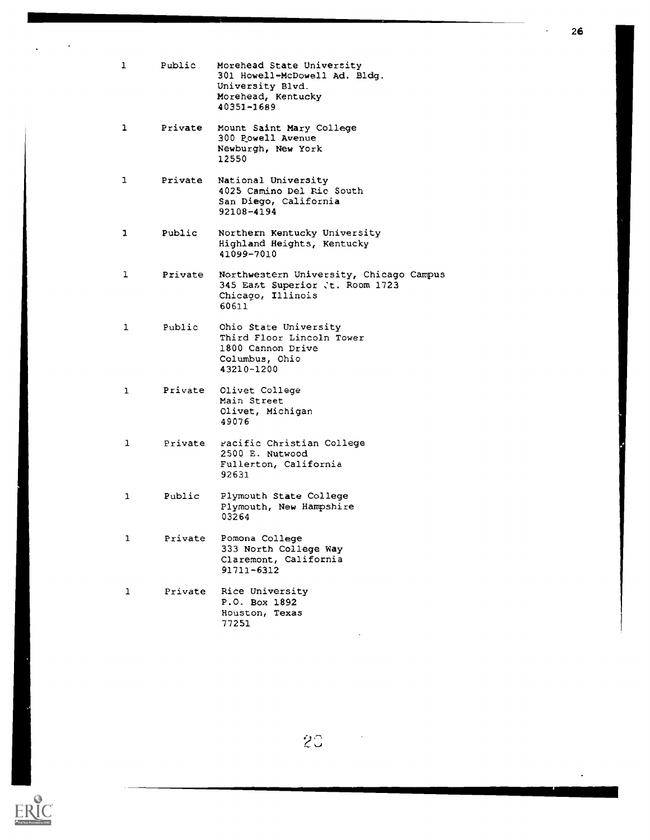| ı | Public  | Morehead State University<br>301 Howell-McDowell Ad. Bldg.<br>University Blvd.<br>Morehead, Kentucky<br>40351-1689 |
|---|---------|--------------------------------------------------------------------------------------------------------------------|
| 1 | Private | Mount Saint Mary College<br>300 Powell Avenue<br>Newburgh, New York<br>12550                                       |
| 1 | Private | National University<br>4025 Camino Del Rio South<br>San Diego, California<br>92108-4194                            |
| ı | Public  | Northern Kentucky University<br>Highland Heights, Kentucky<br>41099-7010                                           |
| ı | Private | Northwestern University, Chicago Campus<br>345 East Superior Jt. Room 1723<br>Chicago, Illinois<br>60611           |
| ı | Public  | Ohio State University<br>Third Floor Lincoln Tower<br>1800 Cannon Drive<br>Columbus, Ohio<br>43210-1200            |
| 1 | Private | Olivet College<br>Main Street<br>Olivet, Michigan<br>49076                                                         |
| ı | Private | racific Christian College<br>2500 E. Nutwood<br>Fullerton, California<br>92631                                     |
| ı | Public  | Plymouth State College<br>Plymouth, New Hampshire<br>03264                                                         |
| ı | Private | Pomona College<br>333 North College Way<br>Claremont, California<br>91711-6312                                     |
| ı | Private | Rice University<br>P.O. Box 1892<br>Houston, Texas<br>77251                                                        |



 $\ddot{\phantom{0}}$ 

 $2^\circ$ 

26

 $\bar{\mathcal{A}}$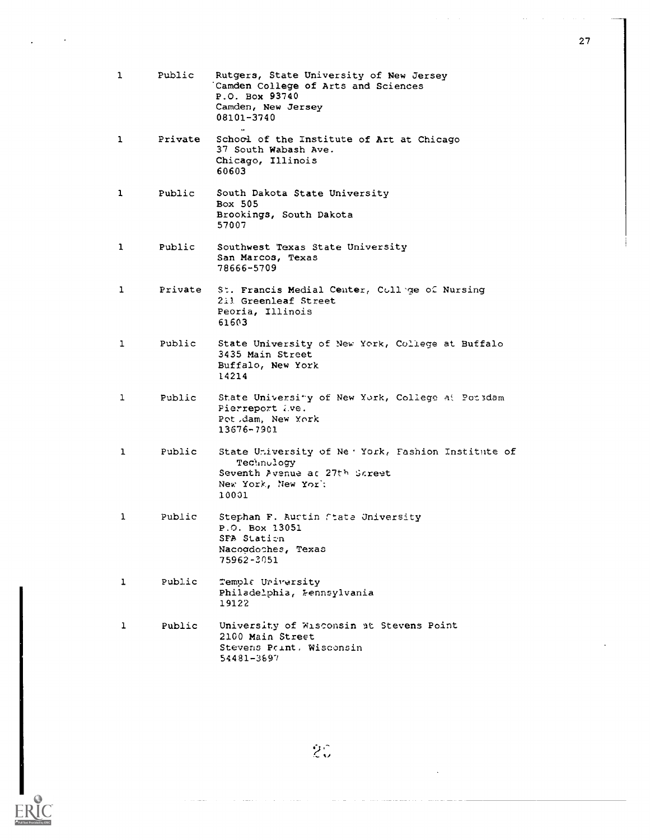| 1            | Public  | Rutgers, State University of New Jersey<br>Camden College of Arts and Sciences<br>P.O. Box 93740<br>Camden, New Jersey<br>08101-3740 |
|--------------|---------|--------------------------------------------------------------------------------------------------------------------------------------|
| 1            | Private | School of the Institute of Art at Chicago<br>37 South Wabash Ave.<br>Chicago, Illinois<br>60603                                      |
| 1            | Public  | South Dakota State University<br>Box 505<br>Brookings, South Dakota<br>57007                                                         |
| $\mathbf{1}$ | Public  | Southwest Texas State University<br>San Marcos, Texas<br>78666-5709                                                                  |
| $\mathbf{1}$ | Private | St. Francis Medial Center, Collige of Nursing<br>211 Greenleaf Street<br>Peoria, Illinois<br>61603                                   |
| ı            | Public  | State University of New York, College at Buffalo<br>3435 Main Street<br>Buffalo, New York<br>14214                                   |
| ı            | Public  | State University of New York, College at Porsdam<br>Pierreport .ve.<br>Pot dam, New York<br>13676-7901                               |
| 1            | Public  | State University of Ne 'York, Fashion Institute of<br>Technulogy<br>Seventh Avenue ac 27th Screet<br>New York, New Yor:<br>10001     |
| 1            | Public  | Stephan F. Austin State University<br>P.O. Box 13051<br>SFA Station<br>Nacogdoches, Texas<br>75962-3051                              |
| ı            | Public  | Templa University<br>Philadelphia, Fennsylvania<br>19122                                                                             |
| ı            | Public  | University of Wisconsin at Stevens Point<br>2100 Main Street<br>Stevens Point. Wisconsin<br>54481-3697                               |

 $\ddot{\phantom{a}}$ 

 $\hat{\mathcal{E}}_0$ 

27

 $\sim 10$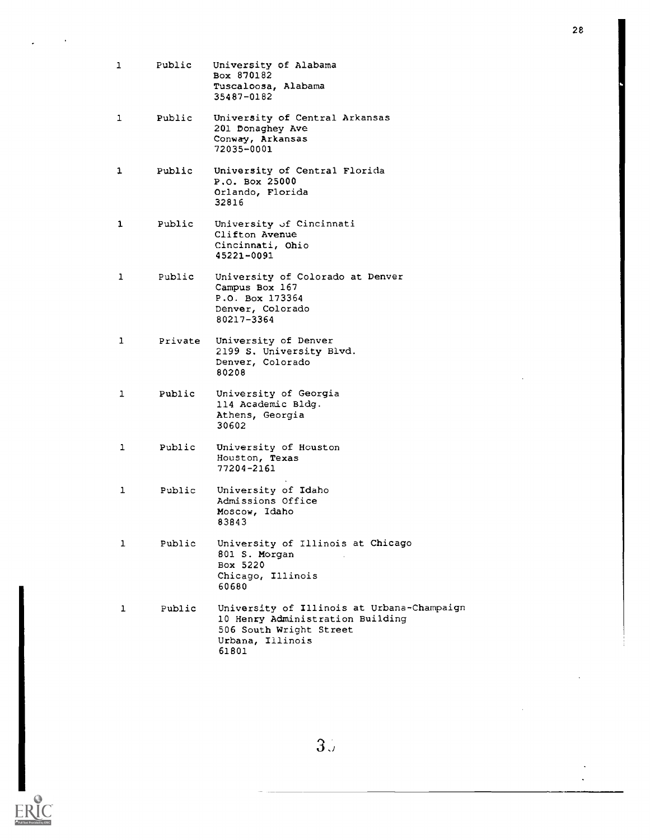| 1            | Public  | University of Alabama<br>Box 870182<br>Tuscaloosa, Alabama<br>35487-0182                                                               |
|--------------|---------|----------------------------------------------------------------------------------------------------------------------------------------|
| $\mathbf{1}$ | Public  | University of Central Arkansas<br>201 Donaghey Ave<br>Conway, Arkansas<br>72035-0001                                                   |
| 1            | Public  | University of Central Florida<br>P.O. Box 25000<br>Orlando, Florida<br>32816                                                           |
| 1            | Public  | University of Cincinnati<br>Clifton Avenue<br>Cincinnati, Ohio<br>45221-0091                                                           |
| 1            | Public  | University of Colorado at Denver<br>Campus Box 167<br>P.O. Box 173364<br>Denver, Colorado<br>80217-3364                                |
| $\mathbf{1}$ | Private | University of Denver<br>2199 S. University Blvd.<br>Denver, Colorado<br>80208                                                          |
| $\mathbf{1}$ | Public  | University of Georgia<br>114 Academic Bldg.<br>Athens, Georgia<br>30602                                                                |
| 1            | Public  | University of Houston<br>Houston, Texas<br>77204-2161                                                                                  |
| 1            | Public  | University of Idaho<br>Admissions Office<br>Moscow, Idaho<br>83843                                                                     |
| ı            | Public  | University of Illinois at Chicago<br>801 S. Morgan<br>Box 5220<br>Chicago, Illinois<br>60680                                           |
| ı            | Public  | University of Illinois at Urbana-Champaign<br>10 Henry Administration Building<br>506 South Wright Street<br>Urbana, Illinois<br>61801 |

 $3\overset{\circ}{\mathcal{A}}$ 



28

 $\ddot{\phantom{a}}$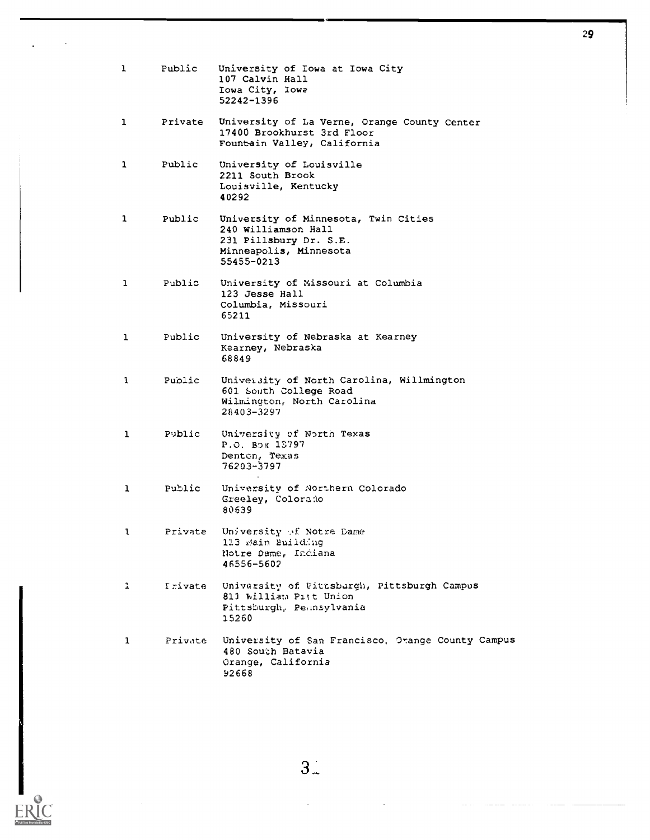| $\mathbf{1}$ | Public         | University of Iowa at Iowa City<br>107 Calvin Hall<br>Iowa City, Iowa<br>52242-1396                                           |
|--------------|----------------|-------------------------------------------------------------------------------------------------------------------------------|
| 1            | Private        | University of La Verne, Orange County Center<br>17400 Brookhurst 3rd Floor<br>Fountain Valley, California                     |
| 1            | Public         | University of Louisville<br>2211 South Brook<br>Louisville, Kentucky<br>40292                                                 |
| 1            | Public         | University of Minnesota, Twin Cities<br>240 Williamson Hall<br>231 Pillsbury Dr. S.E.<br>Minneapolis, Minnesota<br>55455-0213 |
| $\mathbf{1}$ | Public         | University of Missouri at Columbia<br>123 Jesse Hall<br>Columbia, Missouri<br>65211                                           |
| $\mathbf{1}$ | Public         | University of Nebraska at Kearney<br>Kearney, Nebraska<br>68849                                                               |
| 1            | Public         | University of North Carolina, Willmington<br>601 South College Road<br>Wilmington, North Carolina<br>28403-3297               |
| 1            | Public         | University of North Texas<br>P.O. Box 13797<br>Denton, Texas<br>76203-3797                                                    |
| 1            | Public         | University of Northern Colorado<br>Greeley, Colorado<br>80639                                                                 |
| ι            | Private        | University of Notre Dame<br>113 Main Building<br>Notre Dame, Indiana<br>46556-5602                                            |
| 1            | <b>Trivate</b> | University of Fittsburgh, Pittsburgh Campus<br>811 William Pitt Union<br>Pittsburgh, Peansylvania<br>15260                    |
| $\mathbf{1}$ | Private        | University of San Francisco, Orange County Campus<br>480 South Batavia<br>Orange, California<br>92668                         |



 $\overline{\phantom{a}}$ 



 $\ddot{\phantom{a}}$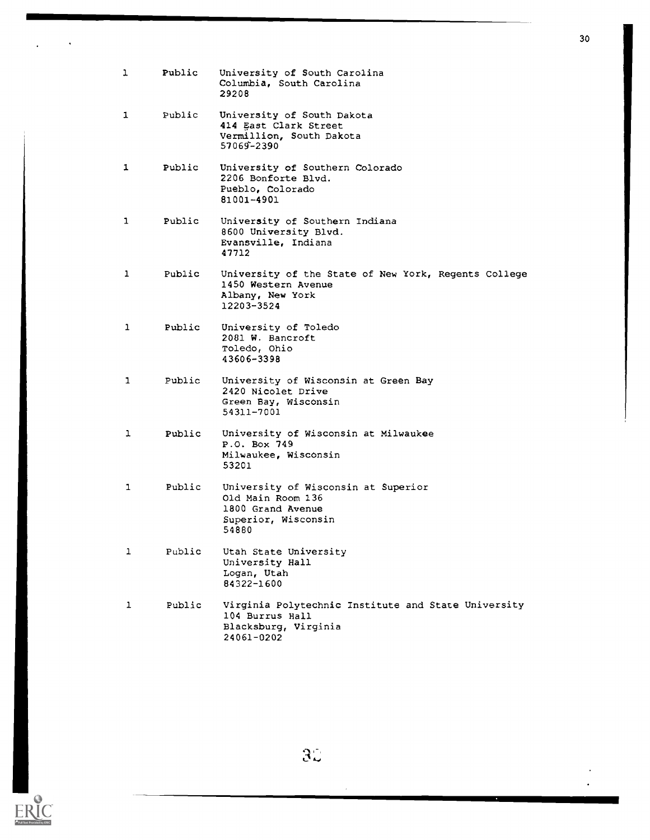| ı  | Public | University of South Carolina<br>Columbia, South Carolina<br>29208                                             |
|----|--------|---------------------------------------------------------------------------------------------------------------|
| 1  | Public | University of South Dakota<br>414 East Clark Street<br>Vermillion, South Dakota<br>57069-2390                 |
| 1  | Public | University of Southern Colorado<br>2206 Bonforte Blvd.<br>Pueblo, Colorado<br>81001-4901                      |
| 1  | Public | University of Southern Indiana<br>8600 University Blvd.<br>Evansville, Indiana<br>47712                       |
| 1  | Public | University of the State of New York, Regents College<br>1450 Western Avenue<br>Albany, New York<br>12203-3524 |
| 1  | Public | University of Toledo<br>2081 W. Bancroft<br>Toledo, Ohio<br>43606-3398                                        |
| 1. | Public | University of Wisconsin at Green Bay<br>2420 Nicolet Drive<br>Green Bay, Wisconsin<br>54311-7001              |
| ı  | Public | University of Wisconsin at Milwaukee<br>P.O. Box 749<br>Milwaukee, Wisconsin<br>53201                         |
| 1  | Public | University of Wisconsin at Superior<br>Old Main Room 136<br>1800 Grand Avenue<br>Superior, Wisconsin<br>54880 |
| 1  | Public | Utah State University<br>University Hall<br>Logan, Utah<br>84322-1600                                         |
| ı  | Public | Virginia Polytechnic Institute and State University<br>104 Burrus Hall<br>Blacksburg, Virginia<br>24061-0202  |



 $3\ddot{\zeta}$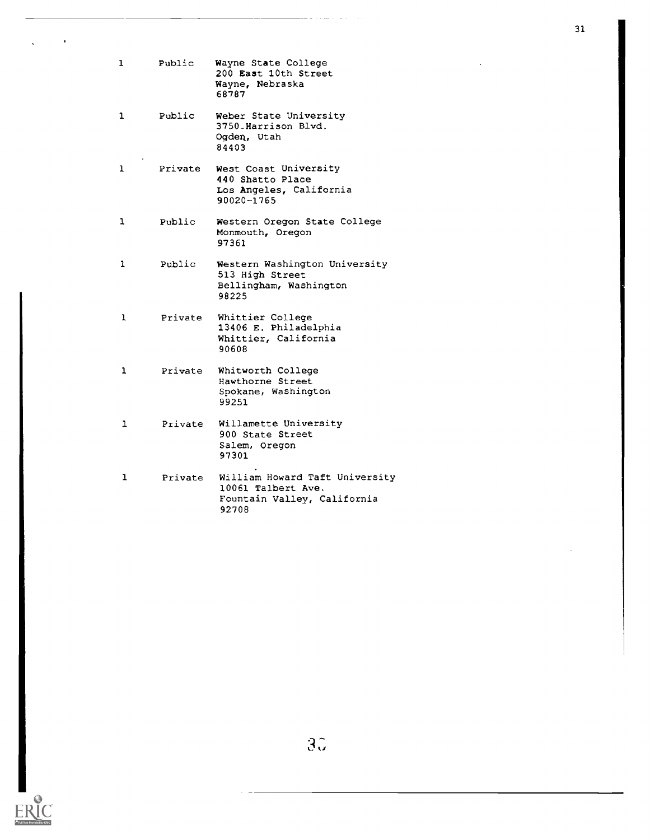| 1            | Public  | Wayne State College<br>200 East 10th Street<br>Wayne, Nebraska<br>68787                      |
|--------------|---------|----------------------------------------------------------------------------------------------|
| 1            | Public  | Weber State University<br>3750_Harrison Blvd.<br>Ogden, Utah<br>84403                        |
| 1            | Private | West Coast University<br>440 Shatto Place<br>Los Angeles, California<br>90020-1765           |
| 1            | Public  | Western Oregon State College<br>Monmouth, Oregon<br>97361                                    |
| 1            | Public  | Western Washington University<br>513 High Street<br>Bellingham, Washington<br>98225          |
| 1            | Private | Whittier College<br>13406 E. Philadelphia<br>Whittier, California<br>90608                   |
| ı            | Private | Whitworth College<br>Hawthorne Street<br>Spokane, Washington<br>99251                        |
| $\mathbf{1}$ | Private | Willamette University<br>900 State Street<br>Salem, Oregon<br>97301                          |
| 1            | Private | William Howard Taft University<br>10061 Talbert Ave.<br>Fountain Valley, California<br>92708 |



 $\ddot{\phantom{0}}$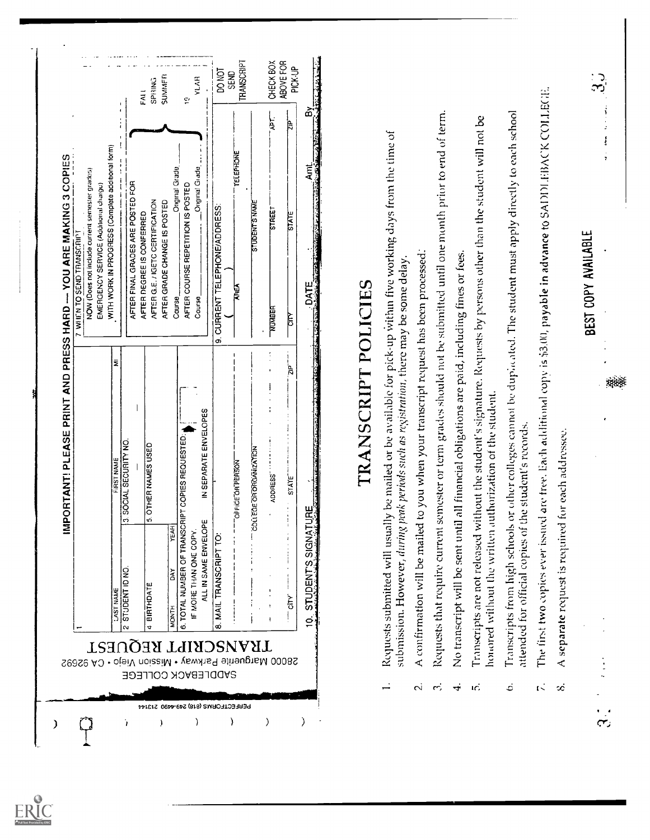| are tree. Each additional copy is \$3.00, payable in advance to SADDI HBACK COLLECTE.<br>කි.<br>mester or term grades should not be submitted until one month prior to end of term.<br>ا جا<br>ج<br>j₽<br>WITH WORK IN PROGRESS (Complete additional form)<br>TELEPHONE<br>IMPORTANT! PLEASE PRINT AND PRESS HARD -- YOU ARE MAKING 3 COPIES<br>ह<br>द<br>Original Grade<br>Original Grade<br>NOW (Does not include current semester grades)<br>AFTER FINAL GRADES ARE POSTED FOR<br>EMERGENCY SERVICE (Additional charge)<br>AFTER COURSE REPETITION IS POSTED<br>AFTER G.E. / IGETC CERTIFICATION<br>AFTER GRADE CHANGE IS POSTED<br>STUDENT S NAME<br>9. CURRENT TELEPHONE/ADDRESS:<br>STREET<br>AFTER DEGREE IS CONFERRED<br><b>STATE</b><br>7 WILN TO SEND TRANSCRIPT<br>all financial obligations are paid, including fines or fees<br>DATE:<br>Exploration of the contract of the contract of the contract of the contract of the contract of the contract of<br>TRANSCRIPT POLICIES<br><b>AREA</b><br>Caurse<br>Caurse<br>NUMBER<br><b>CITY</b><br>ŝ<br>이<br>지<br>IN SEPARATE ENVELOPES<br>or each addressee.<br>PT COPIES REQUESTED:<br>SOCIAL SECURITY NO.<br>OTHER NAMES USED<br>COLLEGE OR ORGANIZATION<br>FIRST NAME<br>OFFICE OR PERSON<br><b>ADDRESS</b><br>STATE<br>₩<br>ທ່<br>ణ<br><b>YEAR</b> | Transcripts from high schools or other colleges cannot be duplicated. The student must apply directly to each school<br>Transcripts are not released without the student's signature. Requests by persons other than the student will not be<br>Requests submitted will usually be mailed or be available for pick-up within five working days from the time of<br>confirmation will be mailed to you when your transcript request has been processed.<br>submission. However, during peak periods such as registration, there may be some delay<br>honored without the written authorization of the student.<br>attended for official copies of the student's records.<br>The first two copies ever issued<br>6. TOTAL NUMBER OF TRANSCRI<br>Requests that require current se<br>A separate request is required f<br>ALL IN SAME ENVELOPE<br>SIGNATU<br>No transcript will be sent until<br>IF MORE THAN ONE COPY<br>MAIL TRANSCRIPT<br>ળ<br><b>STUDENT ID NO</b><br><b>DAY</b><br>STUDENT<br><b>BIRTHDATE</b><br><b>LAST NAME</b><br><b>CITY</b><br><b>MONTH</b><br>$\leq$<br>ထံ<br>TRANSCRIPT REQUEST<br><b>SADDLEBACK COLLEGE</b> | FALL | SUMMER<br>SPIRING | <b>YLAR</b><br>پَ<br>+ | DO NOT | <b>TRANSCRIPT</b><br>SEND | CHECK BOX | ABOVE FOR<br><b>PICK-UP</b> |  |  |  |  |                     |
|-----------------------------------------------------------------------------------------------------------------------------------------------------------------------------------------------------------------------------------------------------------------------------------------------------------------------------------------------------------------------------------------------------------------------------------------------------------------------------------------------------------------------------------------------------------------------------------------------------------------------------------------------------------------------------------------------------------------------------------------------------------------------------------------------------------------------------------------------------------------------------------------------------------------------------------------------------------------------------------------------------------------------------------------------------------------------------------------------------------------------------------------------------------------------------------------------------------------------------------------------------------------------------------------------------------------|---------------------------------------------------------------------------------------------------------------------------------------------------------------------------------------------------------------------------------------------------------------------------------------------------------------------------------------------------------------------------------------------------------------------------------------------------------------------------------------------------------------------------------------------------------------------------------------------------------------------------------------------------------------------------------------------------------------------------------------------------------------------------------------------------------------------------------------------------------------------------------------------------------------------------------------------------------------------------------------------------------------------------------------------------------------------------------------------------------------------------------------|------|-------------------|------------------------|--------|---------------------------|-----------|-----------------------------|--|--|--|--|---------------------|
|                                                                                                                                                                                                                                                                                                                                                                                                                                                                                                                                                                                                                                                                                                                                                                                                                                                                                                                                                                                                                                                                                                                                                                                                                                                                                                                 |                                                                                                                                                                                                                                                                                                                                                                                                                                                                                                                                                                                                                                                                                                                                                                                                                                                                                                                                                                                                                                                                                                                                       |      |                   |                        |        |                           |           |                             |  |  |  |  | BEST COPY AVAILABLE |
|                                                                                                                                                                                                                                                                                                                                                                                                                                                                                                                                                                                                                                                                                                                                                                                                                                                                                                                                                                                                                                                                                                                                                                                                                                                                                                                 | 28000 Marguerite Parkway · Mission Viejo · CA 92692                                                                                                                                                                                                                                                                                                                                                                                                                                                                                                                                                                                                                                                                                                                                                                                                                                                                                                                                                                                                                                                                                   |      |                   |                        |        |                           |           |                             |  |  |  |  |                     |

 $\underset{\mathbf{A}_{\text{full}}}{\mathop{\text{ERC}}}$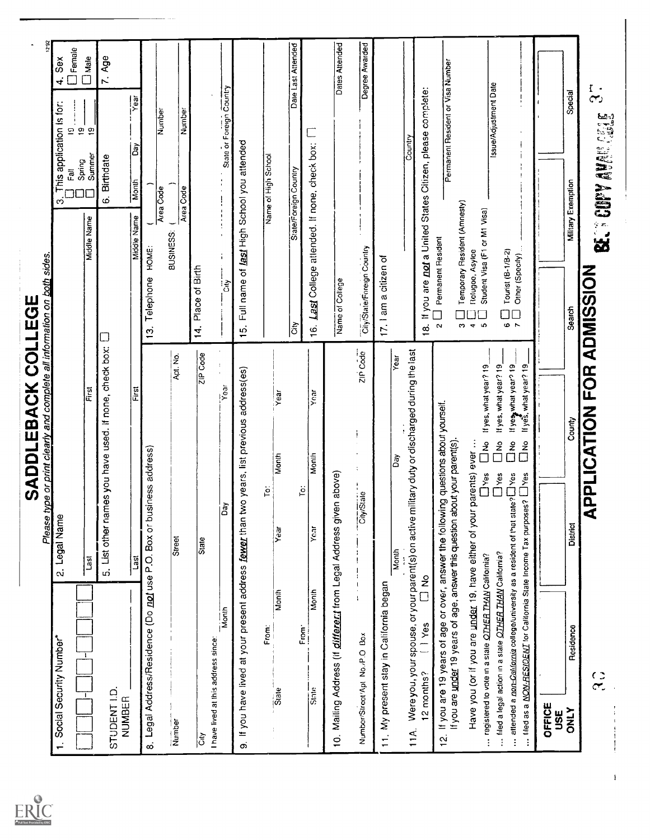|                                                                                                                                                                                                                      | pe or print clearly and complete all information on both sides.<br>SADDLEBACK COLLEGE                                                                              |                                                                                      |                                                       |
|----------------------------------------------------------------------------------------------------------------------------------------------------------------------------------------------------------------------|--------------------------------------------------------------------------------------------------------------------------------------------------------------------|--------------------------------------------------------------------------------------|-------------------------------------------------------|
| Social Security Number*                                                                                                                                                                                              | Please ty<br>2. Legal Name                                                                                                                                         | This application is for:<br>ក្ដី<br>က်                                               | Sex<br>$\vec{r}$<br>$\overline{2}$                    |
| $\overline{1}$<br>Τ.                                                                                                                                                                                                 | First<br>First<br><b>Last</b>                                                                                                                                      | Summer<br>Spring<br>Middle Name                                                      | $\Box$ Female<br>$\square$ Male<br>$\mathbf{e}$<br>စ္ |
| STUDENT I.D.<br><b>NUMBER</b>                                                                                                                                                                                        | 5. List other names you have used. If none, check box:                                                                                                             | 6. Birthdate                                                                         | 7. Age                                                |
|                                                                                                                                                                                                                      | First<br>Last                                                                                                                                                      | Οāγ<br>Month<br>Middle Name                                                          | ieak<br>X                                             |
| 8. Legal Address/Residence (Do not use P.O. Box or business address)                                                                                                                                                 |                                                                                                                                                                    | Area Code<br>Telephone HOME:<br>$\frac{1}{2}$                                        | Number                                                |
| Number                                                                                                                                                                                                               | Apt. No.<br>Street                                                                                                                                                 | Area Code<br>BUSINESS: (                                                             | Number                                                |
| -<br>  이                                                                                                                                                                                                             | ZIP Code<br>State                                                                                                                                                  | 14. Place of Birth                                                                   |                                                       |
| – I<br>Month<br>I<br>I have lived at this address since:                                                                                                                                                             | $\frac{1}{2}$<br>$\overline{Y}$ ear<br>ခြံ                                                                                                                         | ं<br>.ठ                                                                              | State or Foreign Country                              |
| တ                                                                                                                                                                                                                    | If you have lived at your present address fewer than two years, list previous address(es)                                                                          | 15. Full name of last High School you attended                                       |                                                       |
| Month<br>From:<br>Siate                                                                                                                                                                                              | Year<br>Month<br>.o1<br>Year                                                                                                                                       | Name of High School                                                                  |                                                       |
|                                                                                                                                                                                                                      |                                                                                                                                                                    | State/Foreign Country<br>$ \tilde{\vec{5}} $                                         | Date Last Attended                                    |
| Month<br>From <sup>-</sup><br>State                                                                                                                                                                                  | yoar<br>Month<br>ë<br>Yoar                                                                                                                                         | 16. Last College attended. If none, check box: [7]                                   |                                                       |
| 10. Mailing Address (if <i>different</i> from Legal Address given above)                                                                                                                                             |                                                                                                                                                                    | Name of College                                                                      | Dates Attended                                        |
| Number/Street/Apt No./P.O Box                                                                                                                                                                                        | zir Code<br>CityState                                                                                                                                              | Cily/State/Foreign Country                                                           | Degree Awarded                                        |
| 11. My present stay in California began                                                                                                                                                                              |                                                                                                                                                                    | 17. I am a citizen of                                                                |                                                       |
|                                                                                                                                                                                                                      | Year<br>ðã<br>Month                                                                                                                                                |                                                                                      |                                                       |
| $( )$ Yes<br>12 months?                                                                                                                                                                                              | 11A. Were you, your spouse, or your parent(s) on active military outly or discharged during the last<br>e<br>□                                                     | 18. If you are not a United States Citizen, please complete:<br>Country              |                                                       |
| $\frac{\dot{\alpha}}{2}$                                                                                                                                                                                             | If you are 19 years of age or over, answer the following questions about yourself.<br>If you are under 19 years of age, answer this question about your parent(s). | Permanent Resident<br>$\alpha$                                                       | Permanent Resident or Visa Number                     |
|                                                                                                                                                                                                                      | Have you (or if you are under 19, have either of your parents) ever                                                                                                | Temporary Resident (Amnesty)<br><b>Refugee, Asylee</b><br>$\ddot{\phantom{a}}$<br>S. |                                                       |
| registered to vote in a state OTHER THAN California?                                                                                                                                                                 | If yes, what year? 19<br>$\frac{2}{\Box}$<br>Dves<br>D<br>Dves<br>O                                                                                                | Student Visa (F1 or M1 Visa)<br>ശ                                                    | Issue/Adjustment Date                                 |
| attended a non-California college/university as a resident of that state? LI Yes<br>liled as a NON-RESICENT for California State Income Tax purposes? [Nes<br>filed a legal action in a state OTHER THAN California? | If yes, what year? 19<br>If yes what year? 19<br>If yes, what year? 19<br>$\frac{2}{\sqrt{2}}$<br>$\tilde{\tilde{\Gamma}}$<br>$\tilde{\tilde{\Pi}}$                | Other (Specify)<br>Tourist (B-1/B-2)<br>$\Box$<br>ہ ہ                                |                                                       |
| OFFICE<br><b>USE</b>                                                                                                                                                                                                 |                                                                                                                                                                    |                                                                                      |                                                       |
| Residence<br><b>ATNO</b>                                                                                                                                                                                             | County<br>District                                                                                                                                                 | <b>Miliary Exemption</b><br>Search                                                   | Special                                               |
| $\frac{c}{c}$                                                                                                                                                                                                        | PPLICATION FOR ADMISSION<br>⋖                                                                                                                                      | <b>BELY COPY ANGELES CELE</b>                                                        | $\frac{1}{3}$                                         |
|                                                                                                                                                                                                                      |                                                                                                                                                                    |                                                                                      |                                                       |
|                                                                                                                                                                                                                      |                                                                                                                                                                    |                                                                                      |                                                       |
|                                                                                                                                                                                                                      |                                                                                                                                                                    |                                                                                      |                                                       |
|                                                                                                                                                                                                                      |                                                                                                                                                                    |                                                                                      |                                                       |



 $\bar{1}$